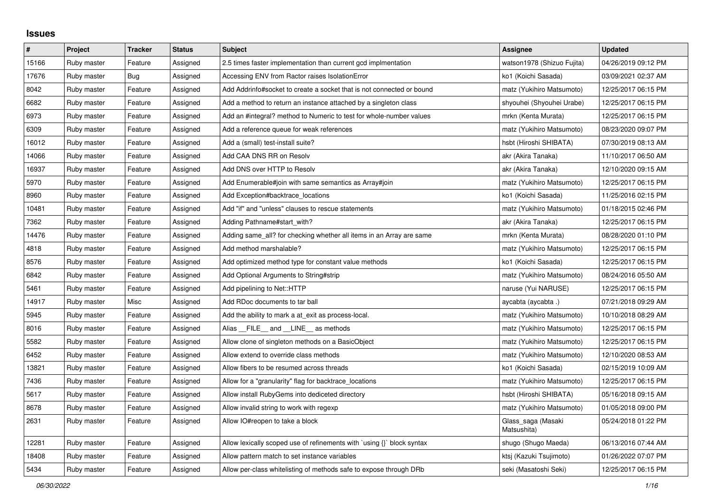## **Issues**

| $\vert$ # | Project     | <b>Tracker</b> | <b>Status</b> | <b>Subject</b>                                                         | Assignee                          | <b>Updated</b>      |
|-----------|-------------|----------------|---------------|------------------------------------------------------------------------|-----------------------------------|---------------------|
| 15166     | Ruby master | Feature        | Assigned      | 2.5 times faster implementation than current gcd implmentation         | watson1978 (Shizuo Fujita)        | 04/26/2019 09:12 PM |
| 17676     | Ruby master | <b>Bug</b>     | Assigned      | Accessing ENV from Ractor raises IsolationError                        | ko1 (Koichi Sasada)               | 03/09/2021 02:37 AM |
| 8042      | Ruby master | Feature        | Assigned      | Add Addrinfo#socket to create a socket that is not connected or bound  | matz (Yukihiro Matsumoto)         | 12/25/2017 06:15 PM |
| 6682      | Ruby master | Feature        | Assigned      | Add a method to return an instance attached by a singleton class       | shyouhei (Shyouhei Urabe)         | 12/25/2017 06:15 PM |
| 6973      | Ruby master | Feature        | Assigned      | Add an #integral? method to Numeric to test for whole-number values    | mrkn (Kenta Murata)               | 12/25/2017 06:15 PM |
| 6309      | Ruby master | Feature        | Assigned      | Add a reference queue for weak references                              | matz (Yukihiro Matsumoto)         | 08/23/2020 09:07 PM |
| 16012     | Ruby master | Feature        | Assigned      | Add a (small) test-install suite?                                      | hsbt (Hiroshi SHIBATA)            | 07/30/2019 08:13 AM |
| 14066     | Ruby master | Feature        | Assigned      | Add CAA DNS RR on Resolv                                               | akr (Akira Tanaka)                | 11/10/2017 06:50 AM |
| 16937     | Ruby master | Feature        | Assigned      | Add DNS over HTTP to Resolv                                            | akr (Akira Tanaka)                | 12/10/2020 09:15 AM |
| 5970      | Ruby master | Feature        | Assigned      | Add Enumerable#join with same semantics as Array#join                  | matz (Yukihiro Matsumoto)         | 12/25/2017 06:15 PM |
| 8960      | Ruby master | Feature        | Assigned      | Add Exception#backtrace locations                                      | ko1 (Koichi Sasada)               | 11/25/2016 02:15 PM |
| 10481     | Ruby master | Feature        | Assigned      | Add "if" and "unless" clauses to rescue statements                     | matz (Yukihiro Matsumoto)         | 01/18/2015 02:46 PM |
| 7362      | Ruby master | Feature        | Assigned      | Adding Pathname#start with?                                            | akr (Akira Tanaka)                | 12/25/2017 06:15 PM |
| 14476     | Ruby master | Feature        | Assigned      | Adding same all? for checking whether all items in an Array are same   | mrkn (Kenta Murata)               | 08/28/2020 01:10 PM |
| 4818      | Ruby master | Feature        | Assigned      | Add method marshalable?                                                | matz (Yukihiro Matsumoto)         | 12/25/2017 06:15 PM |
| 8576      | Ruby master | Feature        | Assigned      | Add optimized method type for constant value methods                   | ko1 (Koichi Sasada)               | 12/25/2017 06:15 PM |
| 6842      | Ruby master | Feature        | Assigned      | Add Optional Arguments to String#strip                                 | matz (Yukihiro Matsumoto)         | 08/24/2016 05:50 AM |
| 5461      | Ruby master | Feature        | Assigned      | Add pipelining to Net::HTTP                                            | naruse (Yui NARUSE)               | 12/25/2017 06:15 PM |
| 14917     | Ruby master | Misc           | Assigned      | Add RDoc documents to tar ball                                         | aycabta (aycabta .)               | 07/21/2018 09:29 AM |
| 5945      | Ruby master | Feature        | Assigned      | Add the ability to mark a at_exit as process-local.                    | matz (Yukihiro Matsumoto)         | 10/10/2018 08:29 AM |
| 8016      | Ruby master | Feature        | Assigned      | Alias FILE and LINE as methods                                         | matz (Yukihiro Matsumoto)         | 12/25/2017 06:15 PM |
| 5582      | Ruby master | Feature        | Assigned      | Allow clone of singleton methods on a BasicObject                      | matz (Yukihiro Matsumoto)         | 12/25/2017 06:15 PM |
| 6452      | Ruby master | Feature        | Assigned      | Allow extend to override class methods                                 | matz (Yukihiro Matsumoto)         | 12/10/2020 08:53 AM |
| 13821     | Ruby master | Feature        | Assigned      | Allow fibers to be resumed across threads                              | ko1 (Koichi Sasada)               | 02/15/2019 10:09 AM |
| 7436      | Ruby master | Feature        | Assigned      | Allow for a "granularity" flag for backtrace locations                 | matz (Yukihiro Matsumoto)         | 12/25/2017 06:15 PM |
| 5617      | Ruby master | Feature        | Assigned      | Allow install RubyGems into dediceted directory                        | hsbt (Hiroshi SHIBATA)            | 05/16/2018 09:15 AM |
| 8678      | Ruby master | Feature        | Assigned      | Allow invalid string to work with regexp                               | matz (Yukihiro Matsumoto)         | 01/05/2018 09:00 PM |
| 2631      | Ruby master | Feature        | Assigned      | Allow IO#reopen to take a block                                        | Glass_saga (Masaki<br>Matsushita) | 05/24/2018 01:22 PM |
| 12281     | Ruby master | Feature        | Assigned      | Allow lexically scoped use of refinements with `using {}` block syntax | shugo (Shugo Maeda)               | 06/13/2016 07:44 AM |
| 18408     | Ruby master | Feature        | Assigned      | Allow pattern match to set instance variables                          | ktsj (Kazuki Tsujimoto)           | 01/26/2022 07:07 PM |
| 5434      | Ruby master | Feature        | Assigned      | Allow per-class whitelisting of methods safe to expose through DRb     | seki (Masatoshi Seki)             | 12/25/2017 06:15 PM |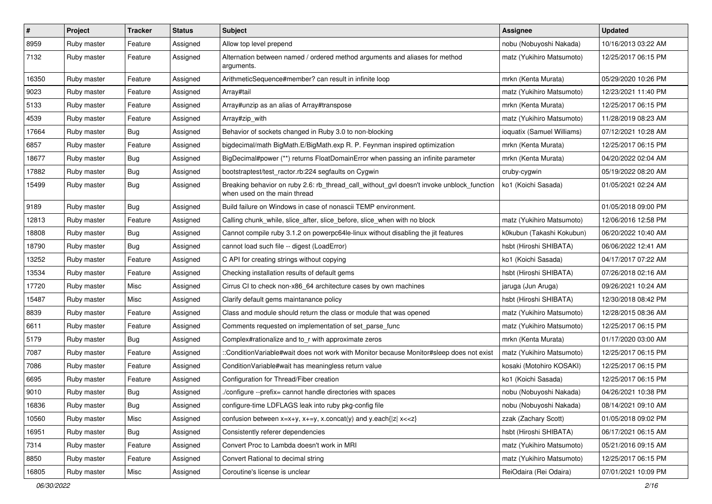| $\vert$ # | Project     | <b>Tracker</b> | <b>Status</b> | Subject                                                                                                                   | <b>Assignee</b>            | <b>Updated</b>      |
|-----------|-------------|----------------|---------------|---------------------------------------------------------------------------------------------------------------------------|----------------------------|---------------------|
| 8959      | Ruby master | Feature        | Assigned      | Allow top level prepend                                                                                                   | nobu (Nobuyoshi Nakada)    | 10/16/2013 03:22 AM |
| 7132      | Ruby master | Feature        | Assigned      | Alternation between named / ordered method arguments and aliases for method<br>arguments.                                 | matz (Yukihiro Matsumoto)  | 12/25/2017 06:15 PM |
| 16350     | Ruby master | Feature        | Assigned      | ArithmeticSequence#member? can result in infinite loop                                                                    | mrkn (Kenta Murata)        | 05/29/2020 10:26 PM |
| 9023      | Ruby master | Feature        | Assigned      | Array#tail                                                                                                                | matz (Yukihiro Matsumoto)  | 12/23/2021 11:40 PM |
| 5133      | Ruby master | Feature        | Assigned      | Array#unzip as an alias of Array#transpose                                                                                | mrkn (Kenta Murata)        | 12/25/2017 06:15 PM |
| 4539      | Ruby master | Feature        | Assigned      | Array#zip_with                                                                                                            | matz (Yukihiro Matsumoto)  | 11/28/2019 08:23 AM |
| 17664     | Ruby master | <b>Bug</b>     | Assigned      | Behavior of sockets changed in Ruby 3.0 to non-blocking                                                                   | ioquatix (Samuel Williams) | 07/12/2021 10:28 AM |
| 6857      | Ruby master | Feature        | Assigned      | bigdecimal/math BigMath.E/BigMath.exp R. P. Feynman inspired optimization                                                 | mrkn (Kenta Murata)        | 12/25/2017 06:15 PM |
| 18677     | Ruby master | Bug            | Assigned      | BigDecimal#power (**) returns FloatDomainError when passing an infinite parameter                                         | mrkn (Kenta Murata)        | 04/20/2022 02:04 AM |
| 17882     | Ruby master | <b>Bug</b>     | Assigned      | bootstraptest/test_ractor.rb:224 segfaults on Cygwin                                                                      | cruby-cygwin               | 05/19/2022 08:20 AM |
| 15499     | Ruby master | Bug            | Assigned      | Breaking behavior on ruby 2.6: rb_thread_call_without_gvl doesn't invoke unblock_function<br>when used on the main thread | ko1 (Koichi Sasada)        | 01/05/2021 02:24 AM |
| 9189      | Ruby master | <b>Bug</b>     | Assigned      | Build failure on Windows in case of nonascii TEMP environment.                                                            |                            | 01/05/2018 09:00 PM |
| 12813     | Ruby master | Feature        | Assigned      | Calling chunk_while, slice_after, slice_before, slice_when with no block                                                  | matz (Yukihiro Matsumoto)  | 12/06/2016 12:58 PM |
| 18808     | Ruby master | <b>Bug</b>     | Assigned      | Cannot compile ruby 3.1.2 on powerpc64le-linux without disabling the jit features                                         | k0kubun (Takashi Kokubun)  | 06/20/2022 10:40 AM |
| 18790     | Ruby master | <b>Bug</b>     | Assigned      | cannot load such file -- digest (LoadError)                                                                               | hsbt (Hiroshi SHIBATA)     | 06/06/2022 12:41 AM |
| 13252     | Ruby master | Feature        | Assigned      | C API for creating strings without copying                                                                                | ko1 (Koichi Sasada)        | 04/17/2017 07:22 AM |
| 13534     | Ruby master | Feature        | Assigned      | Checking installation results of default gems                                                                             | hsbt (Hiroshi SHIBATA)     | 07/26/2018 02:16 AM |
| 17720     | Ruby master | Misc           | Assigned      | Cirrus CI to check non-x86 64 architecture cases by own machines                                                          | jaruga (Jun Aruga)         | 09/26/2021 10:24 AM |
| 15487     | Ruby master | Misc           | Assigned      | Clarify default gems maintanance policy                                                                                   | hsbt (Hiroshi SHIBATA)     | 12/30/2018 08:42 PM |
| 8839      | Ruby master | Feature        | Assigned      | Class and module should return the class or module that was opened                                                        | matz (Yukihiro Matsumoto)  | 12/28/2015 08:36 AM |
| 6611      | Ruby master | Feature        | Assigned      | Comments requested on implementation of set_parse_func                                                                    | matz (Yukihiro Matsumoto)  | 12/25/2017 06:15 PM |
| 5179      | Ruby master | <b>Bug</b>     | Assigned      | Complex#rationalize and to_r with approximate zeros                                                                       | mrkn (Kenta Murata)        | 01/17/2020 03:00 AM |
| 7087      | Ruby master | Feature        | Assigned      | ::ConditionVariable#wait does not work with Monitor because Monitor#sleep does not exist                                  | matz (Yukihiro Matsumoto)  | 12/25/2017 06:15 PM |
| 7086      | Ruby master | Feature        | Assigned      | ConditionVariable#wait has meaningless return value                                                                       | kosaki (Motohiro KOSAKI)   | 12/25/2017 06:15 PM |
| 6695      | Ruby master | Feature        | Assigned      | Configuration for Thread/Fiber creation                                                                                   | ko1 (Koichi Sasada)        | 12/25/2017 06:15 PM |
| 9010      | Ruby master | Bug            | Assigned      | /configure --prefix= cannot handle directories with spaces                                                                | nobu (Nobuyoshi Nakada)    | 04/26/2021 10:38 PM |
| 16836     | Ruby master | Bug            | Assigned      | configure-time LDFLAGS leak into ruby pkg-config file                                                                     | nobu (Nobuyoshi Nakada)    | 08/14/2021 09:10 AM |
| 10560     | Ruby master | Misc           | Assigned      | confusion between $x=x+y$ , $x+=y$ , x.concat(y) and y.each{ z  $x<}$                                                     | zzak (Zachary Scott)       | 01/05/2018 09:02 PM |
| 16951     | Ruby master | <b>Bug</b>     | Assigned      | Consistently referer dependencies                                                                                         | hsbt (Hiroshi SHIBATA)     | 06/17/2021 06:15 AM |
| 7314      | Ruby master | Feature        | Assigned      | Convert Proc to Lambda doesn't work in MRI                                                                                | matz (Yukihiro Matsumoto)  | 05/21/2016 09:15 AM |
| 8850      | Ruby master | Feature        | Assigned      | Convert Rational to decimal string                                                                                        | matz (Yukihiro Matsumoto)  | 12/25/2017 06:15 PM |
| 16805     | Ruby master | Misc           | Assigned      | Coroutine's license is unclear                                                                                            | ReiOdaira (Rei Odaira)     | 07/01/2021 10:09 PM |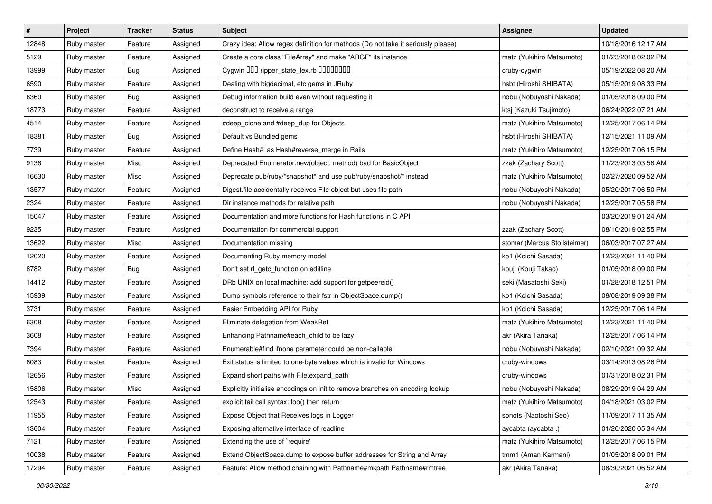| $\sharp$ | Project     | <b>Tracker</b> | <b>Status</b> | <b>Subject</b>                                                                   | <b>Assignee</b>              | <b>Updated</b>      |
|----------|-------------|----------------|---------------|----------------------------------------------------------------------------------|------------------------------|---------------------|
| 12848    | Ruby master | Feature        | Assigned      | Crazy idea: Allow regex definition for methods (Do not take it seriously please) |                              | 10/18/2016 12:17 AM |
| 5129     | Ruby master | Feature        | Assigned      | Create a core class "FileArray" and make "ARGF" its instance                     | matz (Yukihiro Matsumoto)    | 01/23/2018 02:02 PM |
| 13999    | Ruby master | Bug            | Assigned      | Cygwin OOD ripper_state_lex.rb 0000000                                           | cruby-cygwin                 | 05/19/2022 08:20 AM |
| 6590     | Ruby master | Feature        | Assigned      | Dealing with bigdecimal, etc gems in JRuby                                       | hsbt (Hiroshi SHIBATA)       | 05/15/2019 08:33 PM |
| 6360     | Ruby master | Bug            | Assigned      | Debug information build even without requesting it                               | nobu (Nobuyoshi Nakada)      | 01/05/2018 09:00 PM |
| 18773    | Ruby master | Feature        | Assigned      | deconstruct to receive a range                                                   | ktsj (Kazuki Tsujimoto)      | 06/24/2022 07:21 AM |
| 4514     | Ruby master | Feature        | Assigned      | #deep_clone and #deep_dup for Objects                                            | matz (Yukihiro Matsumoto)    | 12/25/2017 06:14 PM |
| 18381    | Ruby master | Bug            | Assigned      | Default vs Bundled gems                                                          | hsbt (Hiroshi SHIBATA)       | 12/15/2021 11:09 AM |
| 7739     | Ruby master | Feature        | Assigned      | Define Hash#  as Hash#reverse_merge in Rails                                     | matz (Yukihiro Matsumoto)    | 12/25/2017 06:15 PM |
| 9136     | Ruby master | Misc           | Assigned      | Deprecated Enumerator.new(object, method) bad for BasicObject                    | zzak (Zachary Scott)         | 11/23/2013 03:58 AM |
| 16630    | Ruby master | Misc           | Assigned      | Deprecate pub/ruby/*snapshot* and use pub/ruby/snapshot/* instead                | matz (Yukihiro Matsumoto)    | 02/27/2020 09:52 AM |
| 13577    | Ruby master | Feature        | Assigned      | Digest file accidentally receives File object but uses file path                 | nobu (Nobuyoshi Nakada)      | 05/20/2017 06:50 PM |
| 2324     | Ruby master | Feature        | Assigned      | Dir instance methods for relative path                                           | nobu (Nobuyoshi Nakada)      | 12/25/2017 05:58 PM |
| 15047    | Ruby master | Feature        | Assigned      | Documentation and more functions for Hash functions in C API                     |                              | 03/20/2019 01:24 AM |
| 9235     | Ruby master | Feature        | Assigned      | Documentation for commercial support                                             | zzak (Zachary Scott)         | 08/10/2019 02:55 PM |
| 13622    | Ruby master | Misc           | Assigned      | Documentation missing                                                            | stomar (Marcus Stollsteimer) | 06/03/2017 07:27 AM |
| 12020    | Ruby master | Feature        | Assigned      | Documenting Ruby memory model                                                    | ko1 (Koichi Sasada)          | 12/23/2021 11:40 PM |
| 8782     | Ruby master | Bug            | Assigned      | Don't set rl_getc_function on editline                                           | kouji (Kouji Takao)          | 01/05/2018 09:00 PM |
| 14412    | Ruby master | Feature        | Assigned      | DRb UNIX on local machine: add support for getpeereid()                          | seki (Masatoshi Seki)        | 01/28/2018 12:51 PM |
| 15939    | Ruby master | Feature        | Assigned      | Dump symbols reference to their fstr in ObjectSpace.dump()                       | ko1 (Koichi Sasada)          | 08/08/2019 09:38 PM |
| 3731     | Ruby master | Feature        | Assigned      | Easier Embedding API for Ruby                                                    | ko1 (Koichi Sasada)          | 12/25/2017 06:14 PM |
| 6308     | Ruby master | Feature        | Assigned      | Eliminate delegation from WeakRef                                                | matz (Yukihiro Matsumoto)    | 12/23/2021 11:40 PM |
| 3608     | Ruby master | Feature        | Assigned      | Enhancing Pathname#each_child to be lazy                                         | akr (Akira Tanaka)           | 12/25/2017 06:14 PM |
| 7394     | Ruby master | Feature        | Assigned      | Enumerable#find ifnone parameter could be non-callable                           | nobu (Nobuyoshi Nakada)      | 02/10/2021 09:32 AM |
| 8083     | Ruby master | Feature        | Assigned      | Exit status is limited to one-byte values which is invalid for Windows           | cruby-windows                | 03/14/2013 08:26 PM |
| 12656    | Ruby master | Feature        | Assigned      | Expand short paths with File.expand_path                                         | cruby-windows                | 01/31/2018 02:31 PM |
| 15806    | Ruby master | Misc           | Assigned      | Explicitly initialise encodings on init to remove branches on encoding lookup    | nobu (Nobuyoshi Nakada)      | 08/29/2019 04:29 AM |
| 12543    | Ruby master | Feature        | Assigned      | explicit tail call syntax: foo() then return                                     | matz (Yukihiro Matsumoto)    | 04/18/2021 03:02 PM |
| 11955    | Ruby master | Feature        | Assigned      | Expose Object that Receives logs in Logger                                       | sonots (Naotoshi Seo)        | 11/09/2017 11:35 AM |
| 13604    | Ruby master | Feature        | Assigned      | Exposing alternative interface of readline                                       | aycabta (aycabta .)          | 01/20/2020 05:34 AM |
| 7121     | Ruby master | Feature        | Assigned      | Extending the use of `require'                                                   | matz (Yukihiro Matsumoto)    | 12/25/2017 06:15 PM |
| 10038    | Ruby master | Feature        | Assigned      | Extend ObjectSpace.dump to expose buffer addresses for String and Array          | tmm1 (Aman Karmani)          | 01/05/2018 09:01 PM |
| 17294    | Ruby master | Feature        | Assigned      | Feature: Allow method chaining with Pathname#mkpath Pathname#rmtree              | akr (Akira Tanaka)           | 08/30/2021 06:52 AM |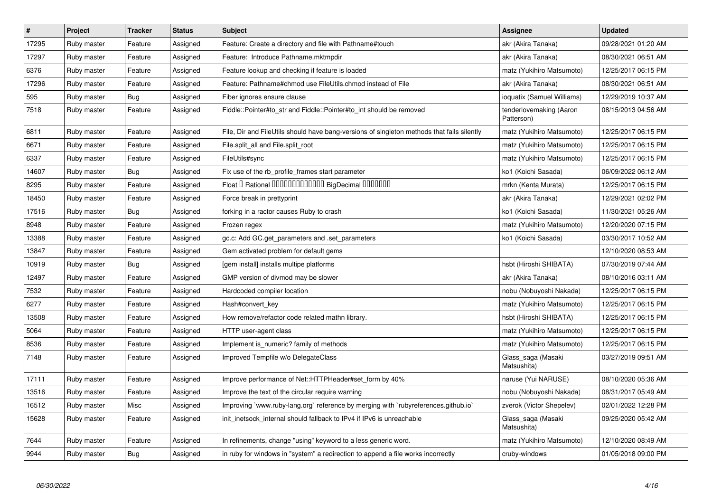| $\vert$ # | Project     | <b>Tracker</b> | <b>Status</b> | <b>Subject</b>                                                                             | Assignee                              | <b>Updated</b>      |
|-----------|-------------|----------------|---------------|--------------------------------------------------------------------------------------------|---------------------------------------|---------------------|
| 17295     | Ruby master | Feature        | Assigned      | Feature: Create a directory and file with Pathname#touch                                   | akr (Akira Tanaka)                    | 09/28/2021 01:20 AM |
| 17297     | Ruby master | Feature        | Assigned      | Feature: Introduce Pathname.mktmpdir                                                       | akr (Akira Tanaka)                    | 08/30/2021 06:51 AM |
| 6376      | Ruby master | Feature        | Assigned      | Feature lookup and checking if feature is loaded                                           | matz (Yukihiro Matsumoto)             | 12/25/2017 06:15 PM |
| 17296     | Ruby master | Feature        | Assigned      | Feature: Pathname#chmod use FileUtils.chmod instead of File                                | akr (Akira Tanaka)                    | 08/30/2021 06:51 AM |
| 595       | Ruby master | <b>Bug</b>     | Assigned      | Fiber ignores ensure clause                                                                | ioquatix (Samuel Williams)            | 12/29/2019 10:37 AM |
| 7518      | Ruby master | Feature        | Assigned      | Fiddle::Pointer#to str and Fiddle::Pointer#to int should be removed                        | tenderlovemaking (Aaron<br>Patterson) | 08/15/2013 04:56 AM |
| 6811      | Ruby master | Feature        | Assigned      | File, Dir and FileUtils should have bang-versions of singleton methods that fails silently | matz (Yukihiro Matsumoto)             | 12/25/2017 06:15 PM |
| 6671      | Ruby master | Feature        | Assigned      | File.split_all and File.split_root                                                         | matz (Yukihiro Matsumoto)             | 12/25/2017 06:15 PM |
| 6337      | Ruby master | Feature        | Assigned      | FileUtils#sync                                                                             | matz (Yukihiro Matsumoto)             | 12/25/2017 06:15 PM |
| 14607     | Ruby master | <b>Bug</b>     | Assigned      | Fix use of the rb profile frames start parameter                                           | ko1 (Koichi Sasada)                   | 06/09/2022 06:12 AM |
| 8295      | Ruby master | Feature        | Assigned      | Float I Rational IIIIIIIIIIIIIIIIIII BigDecimal IIIIIIIIII                                 | mrkn (Kenta Murata)                   | 12/25/2017 06:15 PM |
| 18450     | Ruby master | Feature        | Assigned      | Force break in prettyprint                                                                 | akr (Akira Tanaka)                    | 12/29/2021 02:02 PM |
| 17516     | Ruby master | Bug            | Assigned      | forking in a ractor causes Ruby to crash                                                   | ko1 (Koichi Sasada)                   | 11/30/2021 05:26 AM |
| 8948      | Ruby master | Feature        | Assigned      | Frozen regex                                                                               | matz (Yukihiro Matsumoto)             | 12/20/2020 07:15 PM |
| 13388     | Ruby master | Feature        | Assigned      | gc.c: Add GC.get_parameters and .set_parameters                                            | ko1 (Koichi Sasada)                   | 03/30/2017 10:52 AM |
| 13847     | Ruby master | Feature        | Assigned      | Gem activated problem for default gems                                                     |                                       | 12/10/2020 08:53 AM |
| 10919     | Ruby master | Bug            | Assigned      | [gem install] installs multipe platforms                                                   | hsbt (Hiroshi SHIBATA)                | 07/30/2019 07:44 AM |
| 12497     | Ruby master | Feature        | Assigned      | GMP version of divmod may be slower                                                        | akr (Akira Tanaka)                    | 08/10/2016 03:11 AM |
| 7532      | Ruby master | Feature        | Assigned      | Hardcoded compiler location                                                                | nobu (Nobuyoshi Nakada)               | 12/25/2017 06:15 PM |
| 6277      | Ruby master | Feature        | Assigned      | Hash#convert_key                                                                           | matz (Yukihiro Matsumoto)             | 12/25/2017 06:15 PM |
| 13508     | Ruby master | Feature        | Assigned      | How remove/refactor code related mathn library.                                            | hsbt (Hiroshi SHIBATA)                | 12/25/2017 06:15 PM |
| 5064      | Ruby master | Feature        | Assigned      | HTTP user-agent class                                                                      | matz (Yukihiro Matsumoto)             | 12/25/2017 06:15 PM |
| 8536      | Ruby master | Feature        | Assigned      | Implement is numeric? family of methods                                                    | matz (Yukihiro Matsumoto)             | 12/25/2017 06:15 PM |
| 7148      | Ruby master | Feature        | Assigned      | Improved Tempfile w/o DelegateClass                                                        | Glass_saga (Masaki<br>Matsushita)     | 03/27/2019 09:51 AM |
| 17111     | Ruby master | Feature        | Assigned      | Improve performance of Net::HTTPHeader#set_form by 40%                                     | naruse (Yui NARUSE)                   | 08/10/2020 05:36 AM |
| 13516     | Ruby master | Feature        | Assigned      | Improve the text of the circular require warning                                           | nobu (Nobuyoshi Nakada)               | 08/31/2017 05:49 AM |
| 16512     | Ruby master | Misc           | Assigned      | Improving `www.ruby-lang.org` reference by merging with `rubyreferences.github.io`         | zverok (Victor Shepelev)              | 02/01/2022 12:28 PM |
| 15628     | Ruby master | Feature        | Assigned      | init_inetsock_internal should fallback to IPv4 if IPv6 is unreachable                      | Glass_saga (Masaki<br>Matsushita)     | 09/25/2020 05:42 AM |
| 7644      | Ruby master | Feature        | Assigned      | In refinements, change "using" keyword to a less generic word.                             | matz (Yukihiro Matsumoto)             | 12/10/2020 08:49 AM |
| 9944      | Ruby master | Bug            | Assigned      | in ruby for windows in "system" a redirection to append a file works incorrectly           | cruby-windows                         | 01/05/2018 09:00 PM |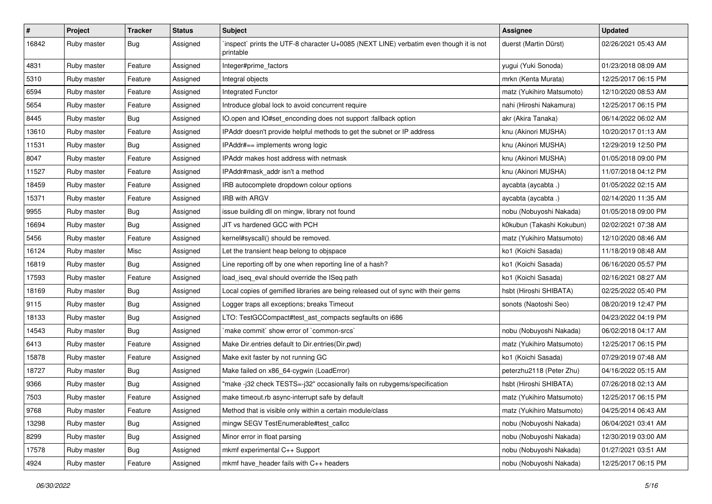| $\vert$ # | Project     | <b>Tracker</b> | <b>Status</b> | <b>Subject</b>                                                                                      | <b>Assignee</b>           | <b>Updated</b>      |
|-----------|-------------|----------------|---------------|-----------------------------------------------------------------------------------------------------|---------------------------|---------------------|
| 16842     | Ruby master | Bug            | Assigned      | 'inspect' prints the UTF-8 character U+0085 (NEXT LINE) verbatim even though it is not<br>printable | duerst (Martin Dürst)     | 02/26/2021 05:43 AM |
| 4831      | Ruby master | Feature        | Assigned      | Integer#prime_factors                                                                               | yugui (Yuki Sonoda)       | 01/23/2018 08:09 AM |
| 5310      | Ruby master | Feature        | Assigned      | Integral objects                                                                                    | mrkn (Kenta Murata)       | 12/25/2017 06:15 PM |
| 6594      | Ruby master | Feature        | Assigned      | <b>Integrated Functor</b>                                                                           | matz (Yukihiro Matsumoto) | 12/10/2020 08:53 AM |
| 5654      | Ruby master | Feature        | Assigned      | Introduce global lock to avoid concurrent require                                                   | nahi (Hiroshi Nakamura)   | 12/25/2017 06:15 PM |
| 8445      | Ruby master | <b>Bug</b>     | Assigned      | IO.open and IO#set_enconding does not support :fallback option                                      | akr (Akira Tanaka)        | 06/14/2022 06:02 AM |
| 13610     | Ruby master | Feature        | Assigned      | IPAddr doesn't provide helpful methods to get the subnet or IP address                              | knu (Akinori MUSHA)       | 10/20/2017 01:13 AM |
| 11531     | Ruby master | Bug            | Assigned      | IPAddr#== implements wrong logic                                                                    | knu (Akinori MUSHA)       | 12/29/2019 12:50 PM |
| 8047      | Ruby master | Feature        | Assigned      | IPAddr makes host address with netmask                                                              | knu (Akinori MUSHA)       | 01/05/2018 09:00 PM |
| 11527     | Ruby master | Feature        | Assigned      | IPAddr#mask addr isn't a method                                                                     | knu (Akinori MUSHA)       | 11/07/2018 04:12 PM |
| 18459     | Ruby master | Feature        | Assigned      | IRB autocomplete dropdown colour options                                                            | aycabta (aycabta .)       | 01/05/2022 02:15 AM |
| 15371     | Ruby master | Feature        | Assigned      | <b>IRB with ARGV</b>                                                                                | aycabta (aycabta .)       | 02/14/2020 11:35 AM |
| 9955      | Ruby master | Bug            | Assigned      | issue building dll on mingw, library not found                                                      | nobu (Nobuyoshi Nakada)   | 01/05/2018 09:00 PM |
| 16694     | Ruby master | Bug            | Assigned      | JIT vs hardened GCC with PCH                                                                        | k0kubun (Takashi Kokubun) | 02/02/2021 07:38 AM |
| 5456      | Ruby master | Feature        | Assigned      | kernel#syscall() should be removed.                                                                 | matz (Yukihiro Matsumoto) | 12/10/2020 08:46 AM |
| 16124     | Ruby master | Misc           | Assigned      | Let the transient heap belong to objspace                                                           | ko1 (Koichi Sasada)       | 11/18/2019 08:48 AM |
| 16819     | Ruby master | Bug            | Assigned      | Line reporting off by one when reporting line of a hash?                                            | ko1 (Koichi Sasada)       | 06/16/2020 05:57 PM |
| 17593     | Ruby master | Feature        | Assigned      | load_iseq_eval should override the ISeq path                                                        | ko1 (Koichi Sasada)       | 02/16/2021 08:27 AM |
| 18169     | Ruby master | <b>Bug</b>     | Assigned      | Local copies of gemified libraries are being released out of sync with their gems                   | hsbt (Hiroshi SHIBATA)    | 02/25/2022 05:40 PM |
| 9115      | Ruby master | <b>Bug</b>     | Assigned      | Logger traps all exceptions; breaks Timeout                                                         | sonots (Naotoshi Seo)     | 08/20/2019 12:47 PM |
| 18133     | Ruby master | <b>Bug</b>     | Assigned      | LTO: TestGCCompact#test_ast_compacts segfaults on i686                                              |                           | 04/23/2022 04:19 PM |
| 14543     | Ruby master | <b>Bug</b>     | Assigned      | `make commit` show error of `common-srcs`                                                           | nobu (Nobuyoshi Nakada)   | 06/02/2018 04:17 AM |
| 6413      | Ruby master | Feature        | Assigned      | Make Dir.entries default to Dir.entries(Dir.pwd)                                                    | matz (Yukihiro Matsumoto) | 12/25/2017 06:15 PM |
| 15878     | Ruby master | Feature        | Assigned      | Make exit faster by not running GC                                                                  | ko1 (Koichi Sasada)       | 07/29/2019 07:48 AM |
| 18727     | Ruby master | <b>Bug</b>     | Assigned      | Make failed on x86_64-cygwin (LoadError)                                                            | peterzhu2118 (Peter Zhu)  | 04/16/2022 05:15 AM |
| 9366      | Ruby master | Bug            | Assigned      | "make -j32 check TESTS=-j32" occasionally fails on rubygems/specification                           | hsbt (Hiroshi SHIBATA)    | 07/26/2018 02:13 AM |
| 7503      | Ruby master | Feature        | Assigned      | make timeout.rb async-interrupt safe by default                                                     | matz (Yukihiro Matsumoto) | 12/25/2017 06:15 PM |
| 9768      | Ruby master | Feature        | Assigned      | Method that is visible only within a certain module/class                                           | matz (Yukihiro Matsumoto) | 04/25/2014 06:43 AM |
| 13298     | Ruby master | <b>Bug</b>     | Assigned      | mingw SEGV TestEnumerable#test callcc                                                               | nobu (Nobuyoshi Nakada)   | 06/04/2021 03:41 AM |
| 8299      | Ruby master | Bug            | Assigned      | Minor error in float parsing                                                                        | nobu (Nobuyoshi Nakada)   | 12/30/2019 03:00 AM |
| 17578     | Ruby master | <b>Bug</b>     | Assigned      | mkmf experimental C++ Support                                                                       | nobu (Nobuyoshi Nakada)   | 01/27/2021 03:51 AM |
| 4924      | Ruby master | Feature        | Assigned      | mkmf have_header fails with C++ headers                                                             | nobu (Nobuyoshi Nakada)   | 12/25/2017 06:15 PM |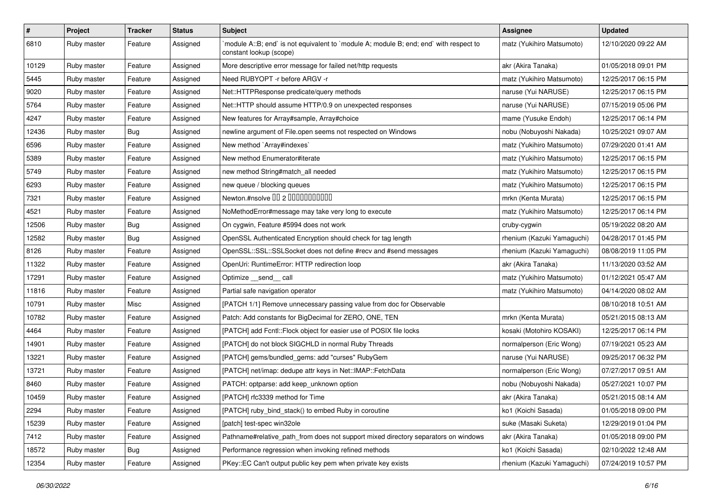| $\vert$ # | Project     | <b>Tracker</b> | <b>Status</b> | <b>Subject</b>                                                                                                   | Assignee                   | <b>Updated</b>      |
|-----------|-------------|----------------|---------------|------------------------------------------------------------------------------------------------------------------|----------------------------|---------------------|
| 6810      | Ruby master | Feature        | Assigned      | module A::B; end` is not equivalent to `module A; module B; end; end` with respect to<br>constant lookup (scope) | matz (Yukihiro Matsumoto)  | 12/10/2020 09:22 AM |
| 10129     | Ruby master | Feature        | Assigned      | More descriptive error message for failed net/http requests                                                      | akr (Akira Tanaka)         | 01/05/2018 09:01 PM |
| 5445      | Ruby master | Feature        | Assigned      | Need RUBYOPT - r before ARGV - r                                                                                 | matz (Yukihiro Matsumoto)  | 12/25/2017 06:15 PM |
| 9020      | Ruby master | Feature        | Assigned      | Net::HTTPResponse predicate/query methods                                                                        | naruse (Yui NARUSE)        | 12/25/2017 06:15 PM |
| 5764      | Ruby master | Feature        | Assigned      | Net::HTTP should assume HTTP/0.9 on unexpected responses                                                         | naruse (Yui NARUSE)        | 07/15/2019 05:06 PM |
| 4247      | Ruby master | Feature        | Assigned      | New features for Array#sample, Array#choice                                                                      | mame (Yusuke Endoh)        | 12/25/2017 06:14 PM |
| 12436     | Ruby master | <b>Bug</b>     | Assigned      | newline argument of File.open seems not respected on Windows                                                     | nobu (Nobuyoshi Nakada)    | 10/25/2021 09:07 AM |
| 6596      | Ruby master | Feature        | Assigned      | New method `Array#indexes`                                                                                       | matz (Yukihiro Matsumoto)  | 07/29/2020 01:41 AM |
| 5389      | Ruby master | Feature        | Assigned      | New method Enumerator#iterate                                                                                    | matz (Yukihiro Matsumoto)  | 12/25/2017 06:15 PM |
| 5749      | Ruby master | Feature        | Assigned      | new method String#match_all needed                                                                               | matz (Yukihiro Matsumoto)  | 12/25/2017 06:15 PM |
| 6293      | Ruby master | Feature        | Assigned      | new queue / blocking queues                                                                                      | matz (Yukihiro Matsumoto)  | 12/25/2017 06:15 PM |
| 7321      | Ruby master | Feature        | Assigned      | Newton.#nsolve 00 2 0000000000                                                                                   | mrkn (Kenta Murata)        | 12/25/2017 06:15 PM |
| 4521      | Ruby master | Feature        | Assigned      | NoMethodError#message may take very long to execute                                                              | matz (Yukihiro Matsumoto)  | 12/25/2017 06:14 PM |
| 12506     | Ruby master | Bug            | Assigned      | On cygwin, Feature #5994 does not work                                                                           | cruby-cygwin               | 05/19/2022 08:20 AM |
| 12582     | Ruby master | <b>Bug</b>     | Assigned      | OpenSSL Authenticated Encryption should check for tag length                                                     | rhenium (Kazuki Yamaguchi) | 04/28/2017 01:45 PM |
| 8126      | Ruby master | Feature        | Assigned      | OpenSSL::SSL::SSLSocket does not define #recv and #send messages                                                 | rhenium (Kazuki Yamaguchi) | 08/08/2019 11:05 PM |
| 11322     | Ruby master | Feature        | Assigned      | OpenUri: RuntimeError: HTTP redirection loop                                                                     | akr (Akira Tanaka)         | 11/13/2020 03:52 AM |
| 17291     | Ruby master | Feature        | Assigned      | Optimize __send__ call                                                                                           | matz (Yukihiro Matsumoto)  | 01/12/2021 05:47 AM |
| 11816     | Ruby master | Feature        | Assigned      | Partial safe navigation operator                                                                                 | matz (Yukihiro Matsumoto)  | 04/14/2020 08:02 AM |
| 10791     | Ruby master | Misc           | Assigned      | [PATCH 1/1] Remove unnecessary passing value from doc for Observable                                             |                            | 08/10/2018 10:51 AM |
| 10782     | Ruby master | Feature        | Assigned      | Patch: Add constants for BigDecimal for ZERO, ONE, TEN                                                           | mrkn (Kenta Murata)        | 05/21/2015 08:13 AM |
| 4464      | Ruby master | Feature        | Assigned      | [PATCH] add Fcntl::Flock object for easier use of POSIX file locks                                               | kosaki (Motohiro KOSAKI)   | 12/25/2017 06:14 PM |
| 14901     | Ruby master | Feature        | Assigned      | [PATCH] do not block SIGCHLD in normal Ruby Threads                                                              | normalperson (Eric Wong)   | 07/19/2021 05:23 AM |
| 13221     | Ruby master | Feature        | Assigned      | [PATCH] gems/bundled_gems: add "curses" RubyGem                                                                  | naruse (Yui NARUSE)        | 09/25/2017 06:32 PM |
| 13721     | Ruby master | Feature        | Assigned      | [PATCH] net/imap: dedupe attr keys in Net::IMAP::FetchData                                                       | normalperson (Eric Wong)   | 07/27/2017 09:51 AM |
| 8460      | Ruby master | Feature        | Assigned      | PATCH: optparse: add keep_unknown option                                                                         | nobu (Nobuyoshi Nakada)    | 05/27/2021 10:07 PM |
| 10459     | Ruby master | Feature        | Assigned      | [PATCH] rfc3339 method for Time                                                                                  | akr (Akira Tanaka)         | 05/21/2015 08:14 AM |
| 2294      | Ruby master | Feature        | Assigned      | [PATCH] ruby_bind_stack() to embed Ruby in coroutine                                                             | ko1 (Koichi Sasada)        | 01/05/2018 09:00 PM |
| 15239     | Ruby master | Feature        | Assigned      | [patch] test-spec win32ole                                                                                       | suke (Masaki Suketa)       | 12/29/2019 01:04 PM |
| 7412      | Ruby master | Feature        | Assigned      | Pathname#relative_path_from does not support mixed directory separators on windows                               | akr (Akira Tanaka)         | 01/05/2018 09:00 PM |
| 18572     | Ruby master | <b>Bug</b>     | Assigned      | Performance regression when invoking refined methods                                                             | ko1 (Koichi Sasada)        | 02/10/2022 12:48 AM |
| 12354     | Ruby master | Feature        | Assigned      | PKey::EC Can't output public key pem when private key exists                                                     | rhenium (Kazuki Yamaguchi) | 07/24/2019 10:57 PM |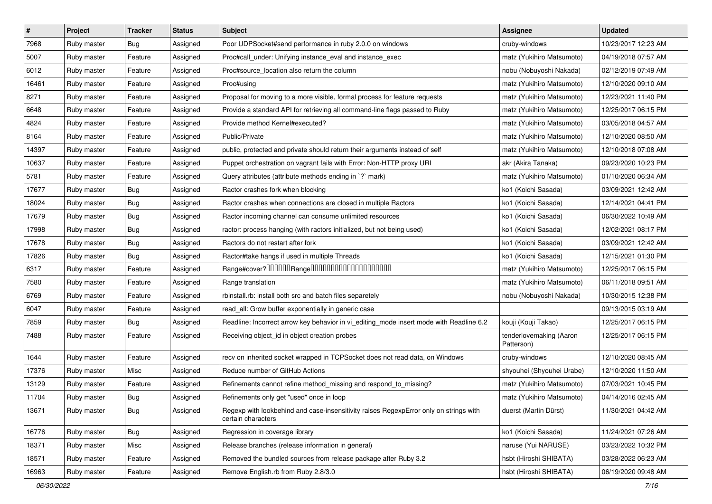| $\vert$ # | Project     | <b>Tracker</b> | <b>Status</b> | <b>Subject</b>                                                                                              | Assignee                              | <b>Updated</b>      |
|-----------|-------------|----------------|---------------|-------------------------------------------------------------------------------------------------------------|---------------------------------------|---------------------|
| 7968      | Ruby master | Bug            | Assigned      | Poor UDPSocket#send performance in ruby 2.0.0 on windows                                                    | cruby-windows                         | 10/23/2017 12:23 AM |
| 5007      | Ruby master | Feature        | Assigned      | Proc#call_under: Unifying instance_eval and instance_exec                                                   | matz (Yukihiro Matsumoto)             | 04/19/2018 07:57 AM |
| 6012      | Ruby master | Feature        | Assigned      | Proc#source_location also return the column                                                                 | nobu (Nobuyoshi Nakada)               | 02/12/2019 07:49 AM |
| 16461     | Ruby master | Feature        | Assigned      | Proc#using                                                                                                  | matz (Yukihiro Matsumoto)             | 12/10/2020 09:10 AM |
| 8271      | Ruby master | Feature        | Assigned      | Proposal for moving to a more visible, formal process for feature requests                                  | matz (Yukihiro Matsumoto)             | 12/23/2021 11:40 PM |
| 6648      | Ruby master | Feature        | Assigned      | Provide a standard API for retrieving all command-line flags passed to Ruby                                 | matz (Yukihiro Matsumoto)             | 12/25/2017 06:15 PM |
| 4824      | Ruby master | Feature        | Assigned      | Provide method Kernel#executed?                                                                             | matz (Yukihiro Matsumoto)             | 03/05/2018 04:57 AM |
| 8164      | Ruby master | Feature        | Assigned      | Public/Private                                                                                              | matz (Yukihiro Matsumoto)             | 12/10/2020 08:50 AM |
| 14397     | Ruby master | Feature        | Assigned      | public, protected and private should return their arguments instead of self                                 | matz (Yukihiro Matsumoto)             | 12/10/2018 07:08 AM |
| 10637     | Ruby master | Feature        | Assigned      | Puppet orchestration on vagrant fails with Error: Non-HTTP proxy URI                                        | akr (Akira Tanaka)                    | 09/23/2020 10:23 PM |
| 5781      | Ruby master | Feature        | Assigned      | Query attributes (attribute methods ending in `?` mark)                                                     | matz (Yukihiro Matsumoto)             | 01/10/2020 06:34 AM |
| 17677     | Ruby master | Bug            | Assigned      | Ractor crashes fork when blocking                                                                           | ko1 (Koichi Sasada)                   | 03/09/2021 12:42 AM |
| 18024     | Ruby master | <b>Bug</b>     | Assigned      | Ractor crashes when connections are closed in multiple Ractors                                              | ko1 (Koichi Sasada)                   | 12/14/2021 04:41 PM |
| 17679     | Ruby master | Bug            | Assigned      | Ractor incoming channel can consume unlimited resources                                                     | ko1 (Koichi Sasada)                   | 06/30/2022 10:49 AM |
| 17998     | Ruby master | <b>Bug</b>     | Assigned      | ractor: process hanging (with ractors initialized, but not being used)                                      | ko1 (Koichi Sasada)                   | 12/02/2021 08:17 PM |
| 17678     | Ruby master | Bug            | Assigned      | Ractors do not restart after fork                                                                           | ko1 (Koichi Sasada)                   | 03/09/2021 12:42 AM |
| 17826     | Ruby master | <b>Bug</b>     | Assigned      | Ractor#take hangs if used in multiple Threads                                                               | ko1 (Koichi Sasada)                   | 12/15/2021 01:30 PM |
| 6317      | Ruby master | Feature        | Assigned      | Range#cover?000000Range00000000000000000000                                                                 | matz (Yukihiro Matsumoto)             | 12/25/2017 06:15 PM |
| 7580      | Ruby master | Feature        | Assigned      | Range translation                                                                                           | matz (Yukihiro Matsumoto)             | 06/11/2018 09:51 AM |
| 6769      | Ruby master | Feature        | Assigned      | rbinstall.rb: install both src and batch files separetely                                                   | nobu (Nobuyoshi Nakada)               | 10/30/2015 12:38 PM |
| 6047      | Ruby master | Feature        | Assigned      | read_all: Grow buffer exponentially in generic case                                                         |                                       | 09/13/2015 03:19 AM |
| 7859      | Ruby master | Bug            | Assigned      | Readline: Incorrect arrow key behavior in vi_editing_mode insert mode with Readline 6.2                     | kouji (Kouji Takao)                   | 12/25/2017 06:15 PM |
| 7488      | Ruby master | Feature        | Assigned      | Receiving object_id in object creation probes                                                               | tenderlovemaking (Aaron<br>Patterson) | 12/25/2017 06:15 PM |
| 1644      | Ruby master | Feature        | Assigned      | recv on inherited socket wrapped in TCPSocket does not read data, on Windows                                | cruby-windows                         | 12/10/2020 08:45 AM |
| 17376     | Ruby master | Misc           | Assigned      | Reduce number of GitHub Actions                                                                             | shyouhei (Shyouhei Urabe)             | 12/10/2020 11:50 AM |
| 13129     | Ruby master | Feature        | Assigned      | Refinements cannot refine method_missing and respond_to_missing?                                            | matz (Yukihiro Matsumoto)             | 07/03/2021 10:45 PM |
| 11704     | Ruby master | Bug            | Assigned      | Refinements only get "used" once in loop                                                                    | matz (Yukihiro Matsumoto)             | 04/14/2016 02:45 AM |
| 13671     | Ruby master | <b>Bug</b>     | Assigned      | Regexp with lookbehind and case-insensitivity raises RegexpError only on strings with<br>certain characters | duerst (Martin Dürst)                 | 11/30/2021 04:42 AM |
| 16776     | Ruby master | <b>Bug</b>     | Assigned      | Regression in coverage library                                                                              | ko1 (Koichi Sasada)                   | 11/24/2021 07:26 AM |
| 18371     | Ruby master | Misc           | Assigned      | Release branches (release information in general)                                                           | naruse (Yui NARUSE)                   | 03/23/2022 10:32 PM |
| 18571     | Ruby master | Feature        | Assigned      | Removed the bundled sources from release package after Ruby 3.2                                             | hsbt (Hiroshi SHIBATA)                | 03/28/2022 06:23 AM |
| 16963     | Ruby master | Feature        | Assigned      | Remove English.rb from Ruby 2.8/3.0                                                                         | hsbt (Hiroshi SHIBATA)                | 06/19/2020 09:48 AM |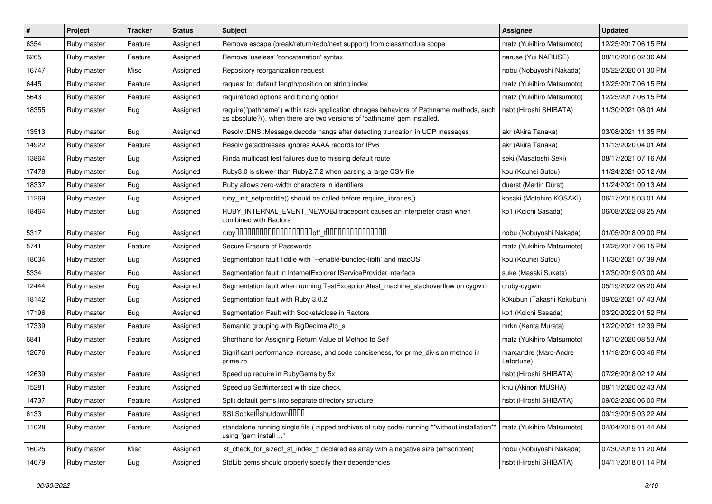| #     | Project     | <b>Tracker</b> | <b>Status</b> | <b>Subject</b>                                                                                                                                                      | <b>Assignee</b>                     | <b>Updated</b>      |
|-------|-------------|----------------|---------------|---------------------------------------------------------------------------------------------------------------------------------------------------------------------|-------------------------------------|---------------------|
| 6354  | Ruby master | Feature        | Assigned      | Remove escape (break/return/redo/next support) from class/module scope                                                                                              | matz (Yukihiro Matsumoto)           | 12/25/2017 06:15 PM |
| 6265  | Ruby master | Feature        | Assigned      | Remove 'useless' 'concatenation' syntax                                                                                                                             | naruse (Yui NARUSE)                 | 08/10/2016 02:36 AM |
| 16747 | Ruby master | Misc           | Assigned      | Repository reorganization request                                                                                                                                   | nobu (Nobuyoshi Nakada)             | 05/22/2020 01:30 PM |
| 6445  | Ruby master | Feature        | Assigned      | request for default length/position on string index                                                                                                                 | matz (Yukihiro Matsumoto)           | 12/25/2017 06:15 PM |
| 5643  | Ruby master | Feature        | Assigned      | require/load options and binding option                                                                                                                             | matz (Yukihiro Matsumoto)           | 12/25/2017 06:15 PM |
| 18355 | Ruby master | Bug            | Assigned      | require("pathname") within rack application chnages behaviors of Pathname methods, such<br>as absolute?(), when there are two versions of 'pathname' gem installed. | hsbt (Hiroshi SHIBATA)              | 11/30/2021 08:01 AM |
| 13513 | Ruby master | Bug            | Assigned      | Resolv::DNS::Message.decode hangs after detecting truncation in UDP messages                                                                                        | akr (Akira Tanaka)                  | 03/08/2021 11:35 PM |
| 14922 | Ruby master | Feature        | Assigned      | Resolv getaddresses ignores AAAA records for IPv6                                                                                                                   | akr (Akira Tanaka)                  | 11/13/2020 04:01 AM |
| 13864 | Ruby master | <b>Bug</b>     | Assigned      | Rinda multicast test failures due to missing default route                                                                                                          | seki (Masatoshi Seki)               | 08/17/2021 07:16 AM |
| 17478 | Ruby master | Bug            | Assigned      | Ruby3.0 is slower than Ruby2.7.2 when parsing a large CSV file                                                                                                      | kou (Kouhei Sutou)                  | 11/24/2021 05:12 AM |
| 18337 | Ruby master | Bug            | Assigned      | Ruby allows zero-width characters in identifiers                                                                                                                    | duerst (Martin Dürst)               | 11/24/2021 09:13 AM |
| 11269 | Ruby master | Bug            | Assigned      | ruby init setproctitle() should be called before require libraries()                                                                                                | kosaki (Motohiro KOSAKI)            | 06/17/2015 03:01 AM |
| 18464 | Ruby master | Bug            | Assigned      | RUBY INTERNAL EVENT NEWOBJ tracepoint causes an interpreter crash when<br>combined with Ractors                                                                     | ko1 (Koichi Sasada)                 | 06/08/2022 08:25 AM |
| 5317  | Ruby master | Bug            | Assigned      | $ruby$ 00000000000000000000 $r_{\text{t}}$ 000000000000000                                                                                                          | nobu (Nobuyoshi Nakada)             | 01/05/2018 09:00 PM |
| 5741  | Ruby master | Feature        | Assigned      | Secure Erasure of Passwords                                                                                                                                         | matz (Yukihiro Matsumoto)           | 12/25/2017 06:15 PM |
| 18034 | Ruby master | Bug            | Assigned      | Segmentation fault fiddle with `--enable-bundled-libffi` and macOS                                                                                                  | kou (Kouhei Sutou)                  | 11/30/2021 07:39 AM |
| 5334  | Ruby master | Bug            | Assigned      | Segmentation fault in InternetExplorer IServiceProvider interface                                                                                                   | suke (Masaki Suketa)                | 12/30/2019 03:00 AM |
| 12444 | Ruby master | Bug            | Assigned      | Segmentation fault when running TestException#test_machine_stackoverflow on cygwin                                                                                  | cruby-cygwin                        | 05/19/2022 08:20 AM |
| 18142 | Ruby master | <b>Bug</b>     | Assigned      | Segmentation fault with Ruby 3.0.2                                                                                                                                  | k0kubun (Takashi Kokubun)           | 09/02/2021 07:43 AM |
| 17196 | Ruby master | Bug            | Assigned      | Segmentation Fault with Socket#close in Ractors                                                                                                                     | ko1 (Koichi Sasada)                 | 03/20/2022 01:52 PM |
| 17339 | Ruby master | Feature        | Assigned      | Semantic grouping with BigDecimal#to_s                                                                                                                              | mrkn (Kenta Murata)                 | 12/20/2021 12:39 PM |
| 6841  | Ruby master | Feature        | Assigned      | Shorthand for Assigning Return Value of Method to Self                                                                                                              | matz (Yukihiro Matsumoto)           | 12/10/2020 08:53 AM |
| 12676 | Ruby master | Feature        | Assigned      | Significant performance increase, and code conciseness, for prime division method in<br>prime.rb                                                                    | marcandre (Marc-Andre<br>Lafortune) | 11/18/2016 03:46 PM |
| 12639 | Ruby master | Feature        | Assigned      | Speed up require in RubyGems by 5x                                                                                                                                  | hsbt (Hiroshi SHIBATA)              | 07/26/2018 02:12 AM |
| 15281 | Ruby master | Feature        | Assigned      | Speed up Set#intersect with size check.                                                                                                                             | knu (Akinori MUSHA)                 | 08/11/2020 02:43 AM |
| 14737 | Ruby master | Feature        | Assigned      | Split default gems into separate directory structure                                                                                                                | hsbt (Hiroshi SHIBATA)              | 09/02/2020 06:00 PM |
| 6133  | Ruby master | Feature        | Assigned      | SSLSocket <sup>[]</sup> shutdown <sup>[][][]</sup>                                                                                                                  |                                     | 09/13/2015 03:22 AM |
| 11028 | Ruby master | Feature        | Assigned      | standalone running single file ( zipped archives of ruby code) running **without installation**<br>using "gem install "                                             | matz (Yukihiro Matsumoto)           | 04/04/2015 01:44 AM |
| 16025 | Ruby master | Misc           | Assigned      | 'st_check_for_sizeof_st_index_t' declared as array with a negative size (emscripten)                                                                                | nobu (Nobuyoshi Nakada)             | 07/30/2019 11:20 AM |
| 14679 | Ruby master | <b>Bug</b>     | Assigned      | StdLib gems should properly specify their dependencies                                                                                                              | hsbt (Hiroshi SHIBATA)              | 04/11/2018 01:14 PM |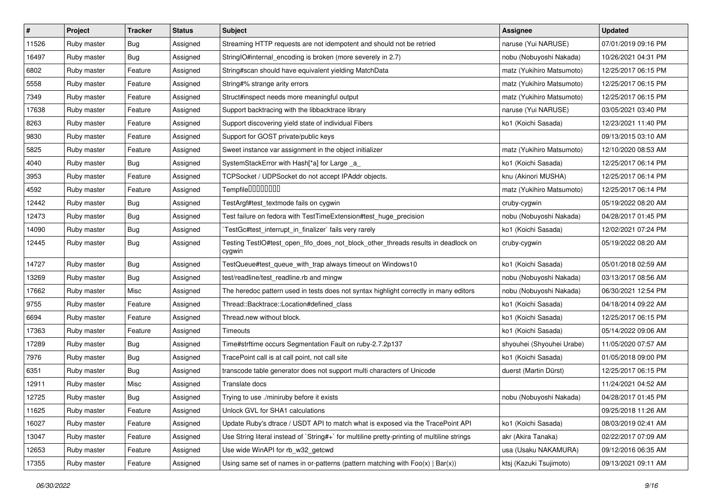| $\sharp$ | Project     | <b>Tracker</b> | <b>Status</b> | <b>Subject</b>                                                                              | <b>Assignee</b>           | <b>Updated</b>      |
|----------|-------------|----------------|---------------|---------------------------------------------------------------------------------------------|---------------------------|---------------------|
| 11526    | Ruby master | <b>Bug</b>     | Assigned      | Streaming HTTP requests are not idempotent and should not be retried                        | naruse (Yui NARUSE)       | 07/01/2019 09:16 PM |
| 16497    | Ruby master | Bug            | Assigned      | StringIO#internal_encoding is broken (more severely in 2.7)                                 | nobu (Nobuyoshi Nakada)   | 10/26/2021 04:31 PM |
| 6802     | Ruby master | Feature        | Assigned      | String#scan should have equivalent yielding MatchData                                       | matz (Yukihiro Matsumoto) | 12/25/2017 06:15 PM |
| 5558     | Ruby master | Feature        | Assigned      | String#% strange arity errors                                                               | matz (Yukihiro Matsumoto) | 12/25/2017 06:15 PM |
| 7349     | Ruby master | Feature        | Assigned      | Struct#inspect needs more meaningful output                                                 | matz (Yukihiro Matsumoto) | 12/25/2017 06:15 PM |
| 17638    | Ruby master | Feature        | Assigned      | Support backtracing with the libbacktrace library                                           | naruse (Yui NARUSE)       | 03/05/2021 03:40 PM |
| 8263     | Ruby master | Feature        | Assigned      | Support discovering yield state of individual Fibers                                        | ko1 (Koichi Sasada)       | 12/23/2021 11:40 PM |
| 9830     | Ruby master | Feature        | Assigned      | Support for GOST private/public keys                                                        |                           | 09/13/2015 03:10 AM |
| 5825     | Ruby master | Feature        | Assigned      | Sweet instance var assignment in the object initializer                                     | matz (Yukihiro Matsumoto) | 12/10/2020 08:53 AM |
| 4040     | Ruby master | Bug            | Assigned      | SystemStackError with Hash[*a] for Large _a_                                                | ko1 (Koichi Sasada)       | 12/25/2017 06:14 PM |
| 3953     | Ruby master | Feature        | Assigned      | TCPSocket / UDPSocket do not accept IPAddr objects.                                         | knu (Akinori MUSHA)       | 12/25/2017 06:14 PM |
| 4592     | Ruby master | Feature        | Assigned      | Tempfile0000000                                                                             | matz (Yukihiro Matsumoto) | 12/25/2017 06:14 PM |
| 12442    | Ruby master | <b>Bug</b>     | Assigned      | TestArgf#test_textmode fails on cygwin                                                      | cruby-cygwin              | 05/19/2022 08:20 AM |
| 12473    | Ruby master | <b>Bug</b>     | Assigned      | Test failure on fedora with TestTimeExtension#test_huge_precision                           | nobu (Nobuyoshi Nakada)   | 04/28/2017 01:45 PM |
| 14090    | Ruby master | <b>Bug</b>     | Assigned      | TestGc#test_interrupt_in_finalizer` fails very rarely                                       | ko1 (Koichi Sasada)       | 12/02/2021 07:24 PM |
| 12445    | Ruby master | <b>Bug</b>     | Assigned      | Testing TestIO#test_open_fifo_does_not_block_other_threads results in deadlock on<br>cygwin | cruby-cygwin              | 05/19/2022 08:20 AM |
| 14727    | Ruby master | Bug            | Assigned      | TestQueue#test_queue_with_trap always timeout on Windows10                                  | ko1 (Koichi Sasada)       | 05/01/2018 02:59 AM |
| 13269    | Ruby master | <b>Bug</b>     | Assigned      | test/readline/test_readline.rb and mingw                                                    | nobu (Nobuyoshi Nakada)   | 03/13/2017 08:56 AM |
| 17662    | Ruby master | Misc           | Assigned      | The heredoc pattern used in tests does not syntax highlight correctly in many editors       | nobu (Nobuyoshi Nakada)   | 06/30/2021 12:54 PM |
| 9755     | Ruby master | Feature        | Assigned      | Thread::Backtrace::Location#defined class                                                   | ko1 (Koichi Sasada)       | 04/18/2014 09:22 AM |
| 6694     | Ruby master | Feature        | Assigned      | Thread.new without block.                                                                   | ko1 (Koichi Sasada)       | 12/25/2017 06:15 PM |
| 17363    | Ruby master | Feature        | Assigned      | Timeouts                                                                                    | ko1 (Koichi Sasada)       | 05/14/2022 09:06 AM |
| 17289    | Ruby master | Bug            | Assigned      | Time#strftime occurs Segmentation Fault on ruby-2.7.2p137                                   | shyouhei (Shyouhei Urabe) | 11/05/2020 07:57 AM |
| 7976     | Ruby master | <b>Bug</b>     | Assigned      | TracePoint call is at call point, not call site                                             | ko1 (Koichi Sasada)       | 01/05/2018 09:00 PM |
| 6351     | Ruby master | <b>Bug</b>     | Assigned      | transcode table generator does not support multi characters of Unicode                      | duerst (Martin Dürst)     | 12/25/2017 06:15 PM |
| 12911    | Ruby master | Misc           | Assigned      | Translate docs                                                                              |                           | 11/24/2021 04:52 AM |
| 12725    | Ruby master | <b>Bug</b>     | Assigned      | Trying to use ./miniruby before it exists                                                   | nobu (Nobuyoshi Nakada)   | 04/28/2017 01:45 PM |
| 11625    | Ruby master | Feature        | Assigned      | Unlock GVL for SHA1 calculations                                                            |                           | 09/25/2018 11:26 AM |
| 16027    | Ruby master | Feature        | Assigned      | Update Ruby's dtrace / USDT API to match what is exposed via the TracePoint API             | ko1 (Koichi Sasada)       | 08/03/2019 02:41 AM |
| 13047    | Ruby master | Feature        | Assigned      | Use String literal instead of `String#+` for multiline pretty-printing of multiline strings | akr (Akira Tanaka)        | 02/22/2017 07:09 AM |
| 12653    | Ruby master | Feature        | Assigned      | Use wide WinAPI for rb w32 getcwd                                                           | usa (Usaku NAKAMURA)      | 09/12/2016 06:35 AM |
| 17355    | Ruby master | Feature        | Assigned      | Using same set of names in or-patterns (pattern matching with $Foo(x)   Bar(x)$ )           | ktsj (Kazuki Tsujimoto)   | 09/13/2021 09:11 AM |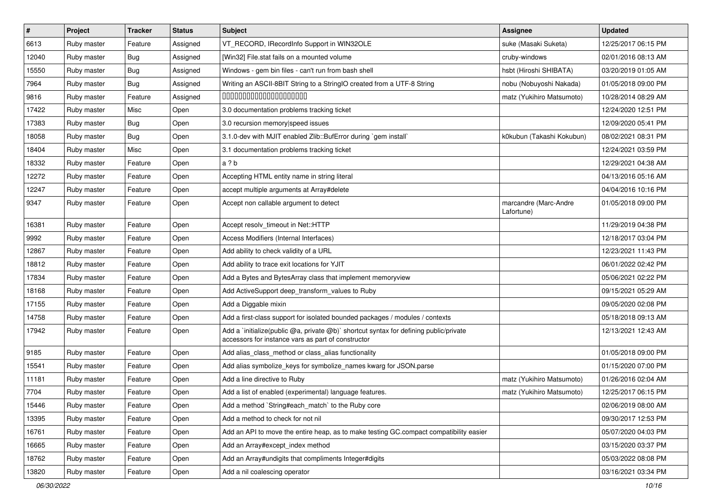| $\vert$ # | Project     | <b>Tracker</b> | <b>Status</b> | <b>Subject</b>                                                                                                                              | <b>Assignee</b>                     | <b>Updated</b>      |
|-----------|-------------|----------------|---------------|---------------------------------------------------------------------------------------------------------------------------------------------|-------------------------------------|---------------------|
| 6613      | Ruby master | Feature        | Assigned      | VT_RECORD, IRecordInfo Support in WIN32OLE                                                                                                  | suke (Masaki Suketa)                | 12/25/2017 06:15 PM |
| 12040     | Ruby master | Bug            | Assigned      | [Win32] File.stat fails on a mounted volume                                                                                                 | cruby-windows                       | 02/01/2016 08:13 AM |
| 15550     | Ruby master | <b>Bug</b>     | Assigned      | Windows - gem bin files - can't run from bash shell                                                                                         | hsbt (Hiroshi SHIBATA)              | 03/20/2019 01:05 AM |
| 7964      | Ruby master | <b>Bug</b>     | Assigned      | Writing an ASCII-8BIT String to a StringIO created from a UTF-8 String                                                                      | nobu (Nobuyoshi Nakada)             | 01/05/2018 09:00 PM |
| 9816      | Ruby master | Feature        | Assigned      | 00000000000000000000                                                                                                                        | matz (Yukihiro Matsumoto)           | 10/28/2014 08:29 AM |
| 17422     | Ruby master | Misc           | Open          | 3.0 documentation problems tracking ticket                                                                                                  |                                     | 12/24/2020 12:51 PM |
| 17383     | Ruby master | <b>Bug</b>     | Open          | 3.0 recursion memory speed issues                                                                                                           |                                     | 12/09/2020 05:41 PM |
| 18058     | Ruby master | <b>Bug</b>     | Open          | 3.1.0-dev with MJIT enabled Zlib::BufError during `gem install`                                                                             | k0kubun (Takashi Kokubun)           | 08/02/2021 08:31 PM |
| 18404     | Ruby master | Misc           | Open          | 3.1 documentation problems tracking ticket                                                                                                  |                                     | 12/24/2021 03:59 PM |
| 18332     | Ruby master | Feature        | Open          | a ? b                                                                                                                                       |                                     | 12/29/2021 04:38 AM |
| 12272     | Ruby master | Feature        | Open          | Accepting HTML entity name in string literal                                                                                                |                                     | 04/13/2016 05:16 AM |
| 12247     | Ruby master | Feature        | Open          | accept multiple arguments at Array#delete                                                                                                   |                                     | 04/04/2016 10:16 PM |
| 9347      | Ruby master | Feature        | Open          | Accept non callable argument to detect                                                                                                      | marcandre (Marc-Andre<br>Lafortune) | 01/05/2018 09:00 PM |
| 16381     | Ruby master | Feature        | Open          | Accept resolv_timeout in Net::HTTP                                                                                                          |                                     | 11/29/2019 04:38 PM |
| 9992      | Ruby master | Feature        | Open          | Access Modifiers (Internal Interfaces)                                                                                                      |                                     | 12/18/2017 03:04 PM |
| 12867     | Ruby master | Feature        | Open          | Add ability to check validity of a URL                                                                                                      |                                     | 12/23/2021 11:43 PM |
| 18812     | Ruby master | Feature        | Open          | Add ability to trace exit locations for YJIT                                                                                                |                                     | 06/01/2022 02:42 PM |
| 17834     | Ruby master | Feature        | Open          | Add a Bytes and BytesArray class that implement memoryview                                                                                  |                                     | 05/06/2021 02:22 PM |
| 18168     | Ruby master | Feature        | Open          | Add ActiveSupport deep_transform_values to Ruby                                                                                             |                                     | 09/15/2021 05:29 AM |
| 17155     | Ruby master | Feature        | Open          | Add a Diggable mixin                                                                                                                        |                                     | 09/05/2020 02:08 PM |
| 14758     | Ruby master | Feature        | Open          | Add a first-class support for isolated bounded packages / modules / contexts                                                                |                                     | 05/18/2018 09:13 AM |
| 17942     | Ruby master | Feature        | Open          | Add a `initialize(public @a, private @b)` shortcut syntax for defining public/private<br>accessors for instance vars as part of constructor |                                     | 12/13/2021 12:43 AM |
| 9185      | Ruby master | Feature        | Open          | Add alias_class_method or class_alias functionality                                                                                         |                                     | 01/05/2018 09:00 PM |
| 15541     | Ruby master | Feature        | Open          | Add alias symbolize_keys for symbolize_names kwarg for JSON.parse                                                                           |                                     | 01/15/2020 07:00 PM |
| 11181     | Ruby master | Feature        | Open          | Add a line directive to Ruby                                                                                                                | matz (Yukihiro Matsumoto)           | 01/26/2016 02:04 AM |
| 7704      | Ruby master | Feature        | Open          | Add a list of enabled (experimental) language features.                                                                                     | matz (Yukihiro Matsumoto)           | 12/25/2017 06:15 PM |
| 15446     | Ruby master | Feature        | Open          | Add a method `String#each_match` to the Ruby core                                                                                           |                                     | 02/06/2019 08:00 AM |
| 13395     | Ruby master | Feature        | Open          | Add a method to check for not nil                                                                                                           |                                     | 09/30/2017 12:53 PM |
| 16761     | Ruby master | Feature        | Open          | Add an API to move the entire heap, as to make testing GC.compact compatibility easier                                                      |                                     | 05/07/2020 04:03 PM |
| 16665     | Ruby master | Feature        | Open          | Add an Array#except_index method                                                                                                            |                                     | 03/15/2020 03:37 PM |
| 18762     | Ruby master | Feature        | Open          | Add an Array#undigits that compliments Integer#digits                                                                                       |                                     | 05/03/2022 08:08 PM |
| 13820     | Ruby master | Feature        | Open          | Add a nil coalescing operator                                                                                                               |                                     | 03/16/2021 03:34 PM |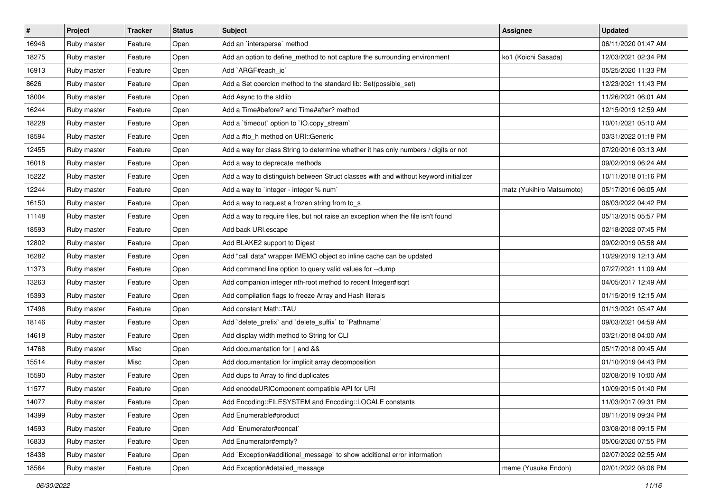| $\vert$ # | Project     | <b>Tracker</b> | <b>Status</b> | <b>Subject</b>                                                                       | <b>Assignee</b>           | <b>Updated</b>      |
|-----------|-------------|----------------|---------------|--------------------------------------------------------------------------------------|---------------------------|---------------------|
| 16946     | Ruby master | Feature        | Open          | Add an `intersperse` method                                                          |                           | 06/11/2020 01:47 AM |
| 18275     | Ruby master | Feature        | Open          | Add an option to define_method to not capture the surrounding environment            | ko1 (Koichi Sasada)       | 12/03/2021 02:34 PM |
| 16913     | Ruby master | Feature        | Open          | Add `ARGF#each_io`                                                                   |                           | 05/25/2020 11:33 PM |
| 8626      | Ruby master | Feature        | Open          | Add a Set coercion method to the standard lib: Set(possible_set)                     |                           | 12/23/2021 11:43 PM |
| 18004     | Ruby master | Feature        | Open          | Add Async to the stdlib                                                              |                           | 11/26/2021 06:01 AM |
| 16244     | Ruby master | Feature        | Open          | Add a Time#before? and Time#after? method                                            |                           | 12/15/2019 12:59 AM |
| 18228     | Ruby master | Feature        | Open          | Add a 'timeout' option to 'IO.copy_stream'                                           |                           | 10/01/2021 05:10 AM |
| 18594     | Ruby master | Feature        | Open          | Add a #to_h method on URI::Generic                                                   |                           | 03/31/2022 01:18 PM |
| 12455     | Ruby master | Feature        | Open          | Add a way for class String to determine whether it has only numbers / digits or not  |                           | 07/20/2016 03:13 AM |
| 16018     | Ruby master | Feature        | Open          | Add a way to deprecate methods                                                       |                           | 09/02/2019 06:24 AM |
| 15222     | Ruby master | Feature        | Open          | Add a way to distinguish between Struct classes with and without keyword initializer |                           | 10/11/2018 01:16 PM |
| 12244     | Ruby master | Feature        | Open          | Add a way to 'integer - integer % num'                                               | matz (Yukihiro Matsumoto) | 05/17/2016 06:05 AM |
| 16150     | Ruby master | Feature        | Open          | Add a way to request a frozen string from to_s                                       |                           | 06/03/2022 04:42 PM |
| 11148     | Ruby master | Feature        | Open          | Add a way to require files, but not raise an exception when the file isn't found     |                           | 05/13/2015 05:57 PM |
| 18593     | Ruby master | Feature        | Open          | Add back URI.escape                                                                  |                           | 02/18/2022 07:45 PM |
| 12802     | Ruby master | Feature        | Open          | Add BLAKE2 support to Digest                                                         |                           | 09/02/2019 05:58 AM |
| 16282     | Ruby master | Feature        | Open          | Add "call data" wrapper IMEMO object so inline cache can be updated                  |                           | 10/29/2019 12:13 AM |
| 11373     | Ruby master | Feature        | Open          | Add command line option to query valid values for --dump                             |                           | 07/27/2021 11:09 AM |
| 13263     | Ruby master | Feature        | Open          | Add companion integer nth-root method to recent Integer#isgrt                        |                           | 04/05/2017 12:49 AM |
| 15393     | Ruby master | Feature        | Open          | Add compilation flags to freeze Array and Hash literals                              |                           | 01/15/2019 12:15 AM |
| 17496     | Ruby master | Feature        | Open          | Add constant Math::TAU                                                               |                           | 01/13/2021 05:47 AM |
| 18146     | Ruby master | Feature        | Open          | Add `delete_prefix` and `delete_suffix` to `Pathname`                                |                           | 09/03/2021 04:59 AM |
| 14618     | Ruby master | Feature        | Open          | Add display width method to String for CLI                                           |                           | 03/21/2018 04:00 AM |
| 14768     | Ruby master | Misc           | Open          | Add documentation for    and &&                                                      |                           | 05/17/2018 09:45 AM |
| 15514     | Ruby master | Misc           | Open          | Add documentation for implicit array decomposition                                   |                           | 01/10/2019 04:43 PM |
| 15590     | Ruby master | Feature        | Open          | Add dups to Array to find duplicates                                                 |                           | 02/08/2019 10:00 AM |
| 11577     | Ruby master | Feature        | Open          | Add encodeURIComponent compatible API for URI                                        |                           | 10/09/2015 01:40 PM |
| 14077     | Ruby master | Feature        | Open          | Add Encoding::FILESYSTEM and Encoding::LOCALE constants                              |                           | 11/03/2017 09:31 PM |
| 14399     | Ruby master | Feature        | Open          | Add Enumerable#product                                                               |                           | 08/11/2019 09:34 PM |
| 14593     | Ruby master | Feature        | Open          | Add `Enumerator#concat`                                                              |                           | 03/08/2018 09:15 PM |
| 16833     | Ruby master | Feature        | Open          | Add Enumerator#empty?                                                                |                           | 05/06/2020 07:55 PM |
| 18438     | Ruby master | Feature        | Open          | Add `Exception#additional message` to show additional error information              |                           | 02/07/2022 02:55 AM |
| 18564     | Ruby master | Feature        | Open          | Add Exception#detailed_message                                                       | mame (Yusuke Endoh)       | 02/01/2022 08:06 PM |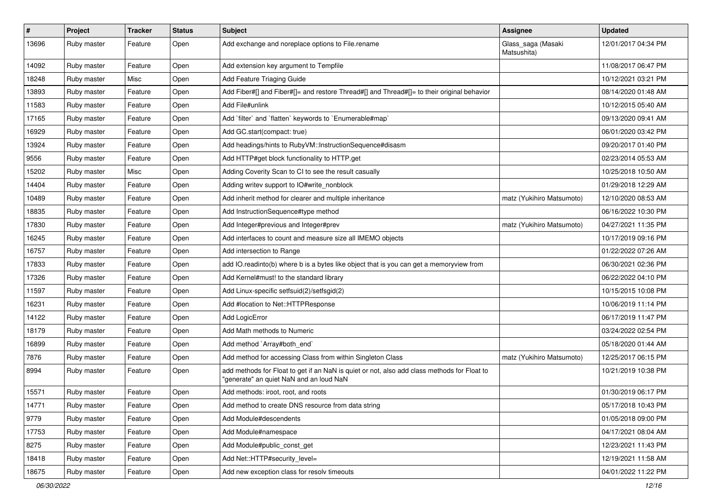| $\vert$ # | Project     | <b>Tracker</b> | <b>Status</b> | <b>Subject</b>                                                                                                                         | <b>Assignee</b>                   | <b>Updated</b>      |
|-----------|-------------|----------------|---------------|----------------------------------------------------------------------------------------------------------------------------------------|-----------------------------------|---------------------|
| 13696     | Ruby master | Feature        | Open          | Add exchange and noreplace options to File.rename                                                                                      | Glass_saga (Masaki<br>Matsushita) | 12/01/2017 04:34 PM |
| 14092     | Ruby master | Feature        | Open          | Add extension key argument to Tempfile                                                                                                 |                                   | 11/08/2017 06:47 PM |
| 18248     | Ruby master | Misc           | Open          | Add Feature Triaging Guide                                                                                                             |                                   | 10/12/2021 03:21 PM |
| 13893     | Ruby master | Feature        | Open          | Add Fiber#[] and Fiber#[]= and restore Thread#[] and Thread#[]= to their original behavior                                             |                                   | 08/14/2020 01:48 AM |
| 11583     | Ruby master | Feature        | Open          | Add File#unlink                                                                                                                        |                                   | 10/12/2015 05:40 AM |
| 17165     | Ruby master | Feature        | Open          | Add 'filter' and 'flatten' keywords to 'Enumerable#map'                                                                                |                                   | 09/13/2020 09:41 AM |
| 16929     | Ruby master | Feature        | Open          | Add GC.start(compact: true)                                                                                                            |                                   | 06/01/2020 03:42 PM |
| 13924     | Ruby master | Feature        | Open          | Add headings/hints to RubyVM::InstructionSequence#disasm                                                                               |                                   | 09/20/2017 01:40 PM |
| 9556      | Ruby master | Feature        | Open          | Add HTTP#get block functionality to HTTP.get                                                                                           |                                   | 02/23/2014 05:53 AM |
| 15202     | Ruby master | Misc           | Open          | Adding Coverity Scan to CI to see the result casually                                                                                  |                                   | 10/25/2018 10:50 AM |
| 14404     | Ruby master | Feature        | Open          | Adding writev support to IO#write_nonblock                                                                                             |                                   | 01/29/2018 12:29 AM |
| 10489     | Ruby master | Feature        | Open          | Add inherit method for clearer and multiple inheritance                                                                                | matz (Yukihiro Matsumoto)         | 12/10/2020 08:53 AM |
| 18835     | Ruby master | Feature        | Open          | Add InstructionSequence#type method                                                                                                    |                                   | 06/16/2022 10:30 PM |
| 17830     | Ruby master | Feature        | Open          | Add Integer#previous and Integer#prev                                                                                                  | matz (Yukihiro Matsumoto)         | 04/27/2021 11:35 PM |
| 16245     | Ruby master | Feature        | Open          | Add interfaces to count and measure size all IMEMO objects                                                                             |                                   | 10/17/2019 09:16 PM |
| 16757     | Ruby master | Feature        | Open          | Add intersection to Range                                                                                                              |                                   | 01/22/2022 07:26 AM |
| 17833     | Ruby master | Feature        | Open          | add IO.readinto(b) where b is a bytes like object that is you can get a memoryview from                                                |                                   | 06/30/2021 02:36 PM |
| 17326     | Ruby master | Feature        | Open          | Add Kernel#must! to the standard library                                                                                               |                                   | 06/22/2022 04:10 PM |
| 11597     | Ruby master | Feature        | Open          | Add Linux-specific setfsuid(2)/setfsgid(2)                                                                                             |                                   | 10/15/2015 10:08 PM |
| 16231     | Ruby master | Feature        | Open          | Add #location to Net::HTTPResponse                                                                                                     |                                   | 10/06/2019 11:14 PM |
| 14122     | Ruby master | Feature        | Open          | Add LogicError                                                                                                                         |                                   | 06/17/2019 11:47 PM |
| 18179     | Ruby master | Feature        | Open          | Add Math methods to Numeric                                                                                                            |                                   | 03/24/2022 02:54 PM |
| 16899     | Ruby master | Feature        | Open          | Add method `Array#both_end`                                                                                                            |                                   | 05/18/2020 01:44 AM |
| 7876      | Ruby master | Feature        | Open          | Add method for accessing Class from within Singleton Class                                                                             | matz (Yukihiro Matsumoto)         | 12/25/2017 06:15 PM |
| 8994      | Ruby master | Feature        | Open          | add methods for Float to get if an NaN is quiet or not, also add class methods for Float to<br>"generate" an quiet NaN and an loud NaN |                                   | 10/21/2019 10:38 PM |
| 15571     | Ruby master | Feature        | Open          | Add methods: iroot, root, and roots                                                                                                    |                                   | 01/30/2019 06:17 PM |
| 14771     | Ruby master | Feature        | Open          | Add method to create DNS resource from data string                                                                                     |                                   | 05/17/2018 10:43 PM |
| 9779      | Ruby master | Feature        | Open          | Add Module#descendents                                                                                                                 |                                   | 01/05/2018 09:00 PM |
| 17753     | Ruby master | Feature        | Open          | Add Module#namespace                                                                                                                   |                                   | 04/17/2021 08:04 AM |
| 8275      | Ruby master | Feature        | Open          | Add Module#public const get                                                                                                            |                                   | 12/23/2021 11:43 PM |
| 18418     | Ruby master | Feature        | Open          | Add Net::HTTP#security_level=                                                                                                          |                                   | 12/19/2021 11:58 AM |
| 18675     | Ruby master | Feature        | Open          | Add new exception class for resolv timeouts                                                                                            |                                   | 04/01/2022 11:22 PM |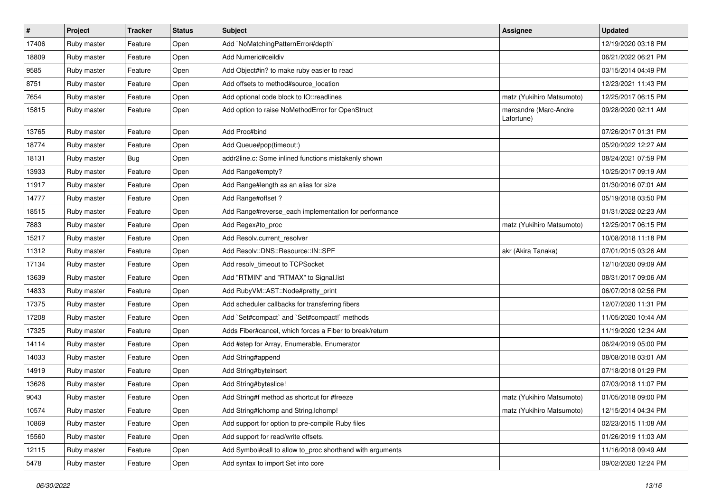| $\sharp$ | Project     | <b>Tracker</b> | <b>Status</b> | <b>Subject</b>                                            | <b>Assignee</b>                     | <b>Updated</b>      |
|----------|-------------|----------------|---------------|-----------------------------------------------------------|-------------------------------------|---------------------|
| 17406    | Ruby master | Feature        | Open          | Add `NoMatchingPatternError#depth`                        |                                     | 12/19/2020 03:18 PM |
| 18809    | Ruby master | Feature        | Open          | Add Numeric#ceildiv                                       |                                     | 06/21/2022 06:21 PM |
| 9585     | Ruby master | Feature        | Open          | Add Object#in? to make ruby easier to read                |                                     | 03/15/2014 04:49 PM |
| 8751     | Ruby master | Feature        | Open          | Add offsets to method#source_location                     |                                     | 12/23/2021 11:43 PM |
| 7654     | Ruby master | Feature        | Open          | Add optional code block to IO::readlines                  | matz (Yukihiro Matsumoto)           | 12/25/2017 06:15 PM |
| 15815    | Ruby master | Feature        | Open          | Add option to raise NoMethodError for OpenStruct          | marcandre (Marc-Andre<br>Lafortune) | 09/28/2020 02:11 AM |
| 13765    | Ruby master | Feature        | Open          | Add Proc#bind                                             |                                     | 07/26/2017 01:31 PM |
| 18774    | Ruby master | Feature        | Open          | Add Queue#pop(timeout:)                                   |                                     | 05/20/2022 12:27 AM |
| 18131    | Ruby master | Bug            | Open          | addr2line.c: Some inlined functions mistakenly shown      |                                     | 08/24/2021 07:59 PM |
| 13933    | Ruby master | Feature        | Open          | Add Range#empty?                                          |                                     | 10/25/2017 09:19 AM |
| 11917    | Ruby master | Feature        | Open          | Add Range#length as an alias for size                     |                                     | 01/30/2016 07:01 AM |
| 14777    | Ruby master | Feature        | Open          | Add Range#offset?                                         |                                     | 05/19/2018 03:50 PM |
| 18515    | Ruby master | Feature        | Open          | Add Range#reverse_each implementation for performance     |                                     | 01/31/2022 02:23 AM |
| 7883     | Ruby master | Feature        | Open          | Add Regex#to_proc                                         | matz (Yukihiro Matsumoto)           | 12/25/2017 06:15 PM |
| 15217    | Ruby master | Feature        | Open          | Add Resolv.current resolver                               |                                     | 10/08/2018 11:18 PM |
| 11312    | Ruby master | Feature        | Open          | Add Resolv::DNS::Resource::IN::SPF                        | akr (Akira Tanaka)                  | 07/01/2015 03:26 AM |
| 17134    | Ruby master | Feature        | Open          | Add resolv_timeout to TCPSocket                           |                                     | 12/10/2020 09:09 AM |
| 13639    | Ruby master | Feature        | Open          | Add "RTMIN" and "RTMAX" to Signal.list                    |                                     | 08/31/2017 09:06 AM |
| 14833    | Ruby master | Feature        | Open          | Add RubyVM::AST::Node#pretty_print                        |                                     | 06/07/2018 02:56 PM |
| 17375    | Ruby master | Feature        | Open          | Add scheduler callbacks for transferring fibers           |                                     | 12/07/2020 11:31 PM |
| 17208    | Ruby master | Feature        | Open          | Add `Set#compact` and `Set#compact!` methods              |                                     | 11/05/2020 10:44 AM |
| 17325    | Ruby master | Feature        | Open          | Adds Fiber#cancel, which forces a Fiber to break/return   |                                     | 11/19/2020 12:34 AM |
| 14114    | Ruby master | Feature        | Open          | Add #step for Array, Enumerable, Enumerator               |                                     | 06/24/2019 05:00 PM |
| 14033    | Ruby master | Feature        | Open          | Add String#append                                         |                                     | 08/08/2018 03:01 AM |
| 14919    | Ruby master | Feature        | Open          | Add String#byteinsert                                     |                                     | 07/18/2018 01:29 PM |
| 13626    | Ruby master | Feature        | Open          | Add String#byteslice!                                     |                                     | 07/03/2018 11:07 PM |
| 9043     | Ruby master | Feature        | Open          | Add String#f method as shortcut for #freeze               | matz (Yukihiro Matsumoto)           | 01/05/2018 09:00 PM |
| 10574    | Ruby master | Feature        | Open          | Add String#Ichomp and String.Ichomp!                      | matz (Yukihiro Matsumoto)           | 12/15/2014 04:34 PM |
| 10869    | Ruby master | Feature        | Open          | Add support for option to pre-compile Ruby files          |                                     | 02/23/2015 11:08 AM |
| 15560    | Ruby master | Feature        | Open          | Add support for read/write offsets.                       |                                     | 01/26/2019 11:03 AM |
| 12115    | Ruby master | Feature        | Open          | Add Symbol#call to allow to_proc shorthand with arguments |                                     | 11/16/2018 09:49 AM |
| 5478     | Ruby master | Feature        | Open          | Add syntax to import Set into core                        |                                     | 09/02/2020 12:24 PM |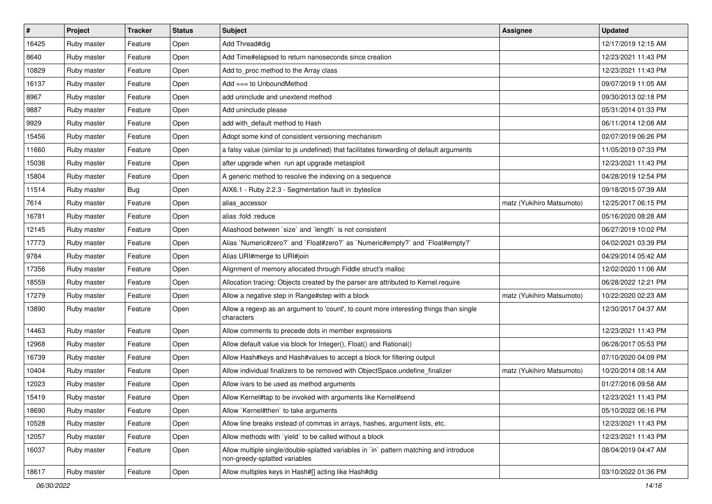| $\vert$ # | Project     | <b>Tracker</b> | <b>Status</b> | Subject                                                                                                                 | Assignee                  | <b>Updated</b>      |
|-----------|-------------|----------------|---------------|-------------------------------------------------------------------------------------------------------------------------|---------------------------|---------------------|
| 16425     | Ruby master | Feature        | Open          | Add Thread#dig                                                                                                          |                           | 12/17/2019 12:15 AM |
| 8640      | Ruby master | Feature        | Open          | Add Time#elapsed to return nanoseconds since creation                                                                   |                           | 12/23/2021 11:43 PM |
| 10829     | Ruby master | Feature        | Open          | Add to_proc method to the Array class                                                                                   |                           | 12/23/2021 11:43 PM |
| 16137     | Ruby master | Feature        | Open          | Add $==$ to UnboundMethod                                                                                               |                           | 09/07/2019 11:05 AM |
| 8967      | Ruby master | Feature        | Open          | add uninclude and unextend method                                                                                       |                           | 09/30/2013 02:18 PM |
| 9887      | Ruby master | Feature        | Open          | Add uninclude please                                                                                                    |                           | 05/31/2014 01:33 PM |
| 9929      | Ruby master | Feature        | Open          | add with_default method to Hash                                                                                         |                           | 06/11/2014 12:08 AM |
| 15456     | Ruby master | Feature        | Open          | Adopt some kind of consistent versioning mechanism                                                                      |                           | 02/07/2019 06:26 PM |
| 11660     | Ruby master | Feature        | Open          | a falsy value (similar to js undefined) that facilitates forwarding of default arguments                                |                           | 11/05/2019 07:33 PM |
| 15036     | Ruby master | Feature        | Open          | after upgrade when run apt upgrade metasploit                                                                           |                           | 12/23/2021 11:43 PM |
| 15804     | Ruby master | Feature        | Open          | A generic method to resolve the indexing on a sequence                                                                  |                           | 04/28/2019 12:54 PM |
| 11514     | Ruby master | Bug            | Open          | AIX6.1 - Ruby 2.2.3 - Segmentation fault in : byteslice                                                                 |                           | 09/18/2015 07:39 AM |
| 7614      | Ruby master | Feature        | Open          | alias accessor                                                                                                          | matz (Yukihiro Matsumoto) | 12/25/2017 06:15 PM |
| 16781     | Ruby master | Feature        | Open          | alias :fold :reduce                                                                                                     |                           | 05/16/2020 08:28 AM |
| 12145     | Ruby master | Feature        | Open          | Aliashood between `size` and `length` is not consistent                                                                 |                           | 06/27/2019 10:02 PM |
| 17773     | Ruby master | Feature        | Open          | Alias `Numeric#zero?` and `Float#zero?` as `Numeric#empty?` and `Float#empty?`                                          |                           | 04/02/2021 03:39 PM |
| 9784      | Ruby master | Feature        | Open          | Alias URI#merge to URI#join                                                                                             |                           | 04/29/2014 05:42 AM |
| 17356     | Ruby master | Feature        | Open          | Alignment of memory allocated through Fiddle struct's malloc                                                            |                           | 12/02/2020 11:06 AM |
| 18559     | Ruby master | Feature        | Open          | Allocation tracing: Objects created by the parser are attributed to Kernel.require                                      |                           | 06/28/2022 12:21 PM |
| 17279     | Ruby master | Feature        | Open          | Allow a negative step in Range#step with a block                                                                        | matz (Yukihiro Matsumoto) | 10/22/2020 02:23 AM |
| 13890     | Ruby master | Feature        | Open          | Allow a regexp as an argument to 'count', to count more interesting things than single<br>characters                    |                           | 12/30/2017 04:37 AM |
| 14463     | Ruby master | Feature        | Open          | Allow comments to precede dots in member expressions                                                                    |                           | 12/23/2021 11:43 PM |
| 12968     | Ruby master | Feature        | Open          | Allow default value via block for Integer(), Float() and Rational()                                                     |                           | 06/28/2017 05:53 PM |
| 16739     | Ruby master | Feature        | Open          | Allow Hash#keys and Hash#values to accept a block for filtering output                                                  |                           | 07/10/2020 04:09 PM |
| 10404     | Ruby master | Feature        | Open          | Allow individual finalizers to be removed with ObjectSpace.undefine_finalizer                                           | matz (Yukihiro Matsumoto) | 10/20/2014 08:14 AM |
| 12023     | Ruby master | Feature        | Open          | Allow ivars to be used as method arguments                                                                              |                           | 01/27/2016 09:58 AM |
| 15419     | Ruby master | Feature        | Open          | Allow Kernel#tap to be invoked with arguments like Kernel#send                                                          |                           | 12/23/2021 11:43 PM |
| 18690     | Ruby master | Feature        | Open          | Allow `Kernel#then` to take arguments                                                                                   |                           | 05/10/2022 06:16 PM |
| 10528     | Ruby master | Feature        | Open          | Allow line breaks instead of commas in arrays, hashes, argument lists, etc.                                             |                           | 12/23/2021 11:43 PM |
| 12057     | Ruby master | Feature        | Open          | Allow methods with 'yield' to be called without a block                                                                 |                           | 12/23/2021 11:43 PM |
| 16037     | Ruby master | Feature        | Open          | Allow multiple single/double-splatted variables in `in` pattern matching and introduce<br>non-greedy-splatted variables |                           | 08/04/2019 04:47 AM |
| 18617     | Ruby master | Feature        | Open          | Allow multiples keys in Hash#[] acting like Hash#dig                                                                    |                           | 03/10/2022 01:36 PM |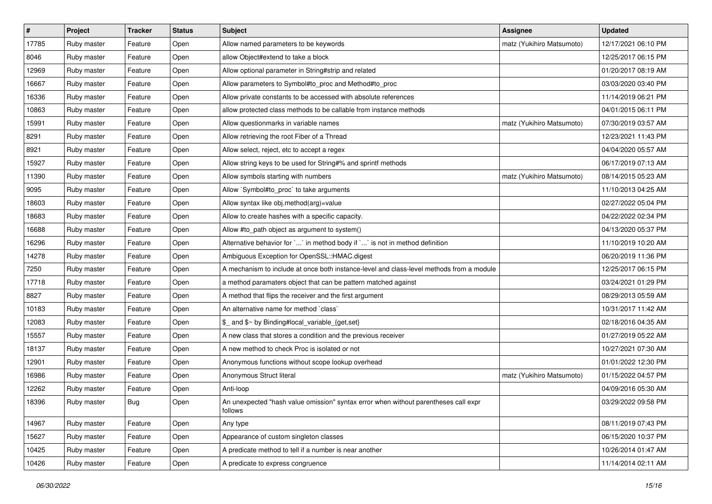| #     | Project     | <b>Tracker</b> | <b>Status</b> | <b>Subject</b>                                                                                 | Assignee                  | <b>Updated</b>      |
|-------|-------------|----------------|---------------|------------------------------------------------------------------------------------------------|---------------------------|---------------------|
| 17785 | Ruby master | Feature        | Open          | Allow named parameters to be keywords                                                          | matz (Yukihiro Matsumoto) | 12/17/2021 06:10 PM |
| 8046  | Ruby master | Feature        | Open          | allow Object#extend to take a block                                                            |                           | 12/25/2017 06:15 PM |
| 12969 | Ruby master | Feature        | Open          | Allow optional parameter in String#strip and related                                           |                           | 01/20/2017 08:19 AM |
| 16667 | Ruby master | Feature        | Open          | Allow parameters to Symbol#to_proc and Method#to_proc                                          |                           | 03/03/2020 03:40 PM |
| 16336 | Ruby master | Feature        | Open          | Allow private constants to be accessed with absolute references                                |                           | 11/14/2019 06:21 PM |
| 10863 | Ruby master | Feature        | Open          | allow protected class methods to be callable from instance methods                             |                           | 04/01/2015 06:11 PM |
| 15991 | Ruby master | Feature        | Open          | Allow questionmarks in variable names                                                          | matz (Yukihiro Matsumoto) | 07/30/2019 03:57 AM |
| 8291  | Ruby master | Feature        | Open          | Allow retrieving the root Fiber of a Thread                                                    |                           | 12/23/2021 11:43 PM |
| 8921  | Ruby master | Feature        | Open          | Allow select, reject, etc to accept a regex                                                    |                           | 04/04/2020 05:57 AM |
| 15927 | Ruby master | Feature        | Open          | Allow string keys to be used for String#% and sprintf methods                                  |                           | 06/17/2019 07:13 AM |
| 11390 | Ruby master | Feature        | Open          | Allow symbols starting with numbers                                                            | matz (Yukihiro Matsumoto) | 08/14/2015 05:23 AM |
| 9095  | Ruby master | Feature        | Open          | Allow `Symbol#to_proc` to take arguments                                                       |                           | 11/10/2013 04:25 AM |
| 18603 | Ruby master | Feature        | Open          | Allow syntax like obj.method(arg)=value                                                        |                           | 02/27/2022 05:04 PM |
| 18683 | Ruby master | Feature        | Open          | Allow to create hashes with a specific capacity.                                               |                           | 04/22/2022 02:34 PM |
| 16688 | Ruby master | Feature        | Open          | Allow #to_path object as argument to system()                                                  |                           | 04/13/2020 05:37 PM |
| 16296 | Ruby master | Feature        | Open          | Alternative behavior for ` ` in method body if ` ` is not in method definition                 |                           | 11/10/2019 10:20 AM |
| 14278 | Ruby master | Feature        | Open          | Ambiguous Exception for OpenSSL::HMAC.digest                                                   |                           | 06/20/2019 11:36 PM |
| 7250  | Ruby master | Feature        | Open          | A mechanism to include at once both instance-level and class-level methods from a module       |                           | 12/25/2017 06:15 PM |
| 17718 | Ruby master | Feature        | Open          | a method paramaters object that can be pattern matched against                                 |                           | 03/24/2021 01:29 PM |
| 8827  | Ruby master | Feature        | Open          | A method that flips the receiver and the first argument                                        |                           | 08/29/2013 05:59 AM |
| 10183 | Ruby master | Feature        | Open          | An alternative name for method `class`                                                         |                           | 10/31/2017 11:42 AM |
| 12083 | Ruby master | Feature        | Open          | \$_ and \$~ by Binding#local_variable_{get,set}                                                |                           | 02/18/2016 04:35 AM |
| 15557 | Ruby master | Feature        | Open          | A new class that stores a condition and the previous receiver                                  |                           | 01/27/2019 05:22 AM |
| 18137 | Ruby master | Feature        | Open          | A new method to check Proc is isolated or not                                                  |                           | 10/27/2021 07:30 AM |
| 12901 | Ruby master | Feature        | Open          | Anonymous functions without scope lookup overhead                                              |                           | 01/01/2022 12:30 PM |
| 16986 | Ruby master | Feature        | Open          | Anonymous Struct literal                                                                       | matz (Yukihiro Matsumoto) | 01/15/2022 04:57 PM |
| 12262 | Ruby master | Feature        | Open          | Anti-loop                                                                                      |                           | 04/09/2016 05:30 AM |
| 18396 | Ruby master | <b>Bug</b>     | Open          | An unexpected "hash value omission" syntax error when without parentheses call expr<br>follows |                           | 03/29/2022 09:58 PM |
| 14967 | Ruby master | Feature        | Open          | Any type                                                                                       |                           | 08/11/2019 07:43 PM |
| 15627 | Ruby master | Feature        | Open          | Appearance of custom singleton classes                                                         |                           | 06/15/2020 10:37 PM |
| 10425 | Ruby master | Feature        | Open          | A predicate method to tell if a number is near another                                         |                           | 10/26/2014 01:47 AM |
| 10426 | Ruby master | Feature        | Open          | A predicate to express congruence                                                              |                           | 11/14/2014 02:11 AM |